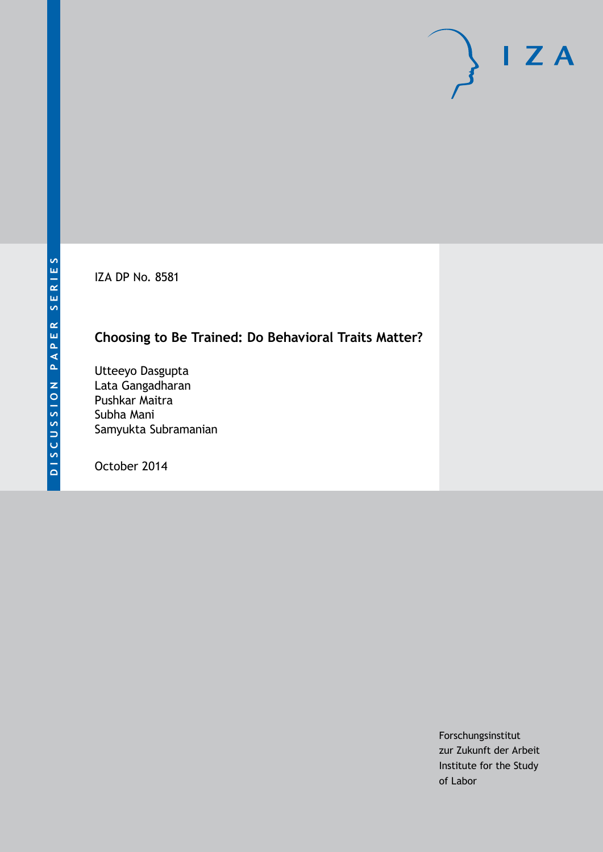IZA DP No. 8581

## **Choosing to Be Trained: Do Behavioral Traits Matter?**

Utteeyo Dasgupta Lata Gangadharan Pushkar Maitra Subha Mani Samyukta Subramanian

October 2014

Forschungsinstitut zur Zukunft der Arbeit Institute for the Study of Labor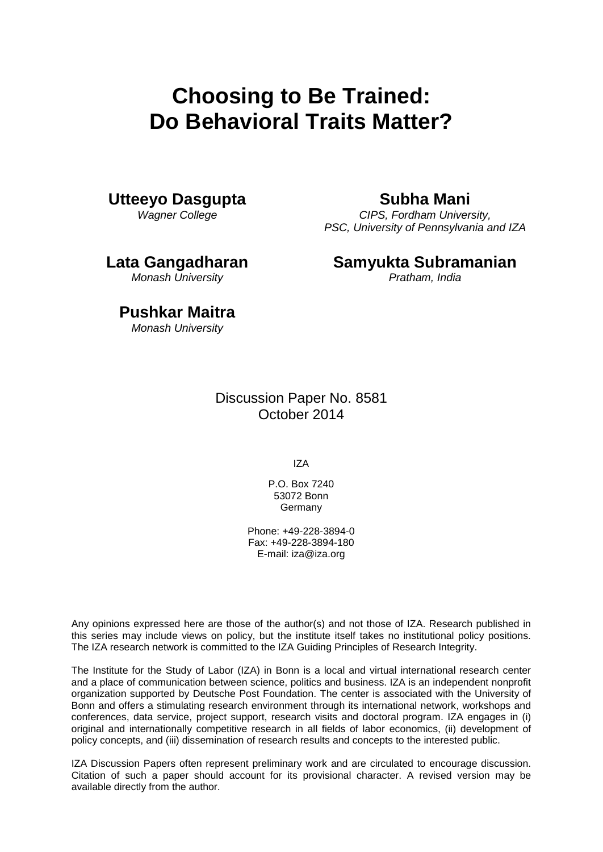**Choosing to Be Trained: Do Behavioral Traits Matter?**

**Utteeyo Dasgupta**

*Wagner College*

## **Subha Mani**

*CIPS, Fordham University, PSC, University of Pennsylvania and IZA*

## **Lata Gangadharan**

*Monash University*

## **Samyukta Subramanian**

*Pratham, India*

# **Pushkar Maitra**

*Monash University*

## Discussion Paper No. 8581 October 2014

IZA

P.O. Box 7240 53072 Bonn Germany

Phone: +49-228-3894-0 Fax: +49-228-3894-180 E-mail: [iza@iza.org](mailto:iza@iza.org)

Any opinions expressed here are those of the author(s) and not those of IZA. Research published in this series may include views on policy, but the institute itself takes no institutional policy positions. The IZA research network is committed to the IZA Guiding Principles of Research Integrity.

<span id="page-1-0"></span>The Institute for the Study of Labor (IZA) in Bonn is a local and virtual international research center and a place of communication between science, politics and business. IZA is an independent nonprofit organization supported by Deutsche Post Foundation. The center is associated with the University of Bonn and offers a stimulating research environment through its international network, workshops and conferences, data service, project support, research visits and doctoral program. IZA engages in (i) original and internationally competitive research in all fields of labor economics, (ii) development of policy concepts, and (iii) dissemination of research results and concepts to the interested public.

IZA Discussion Papers often represent preliminary work and are circulated to encourage discussion. Citation of such a paper should account for its provisional character. A revised version may be available directly from the author.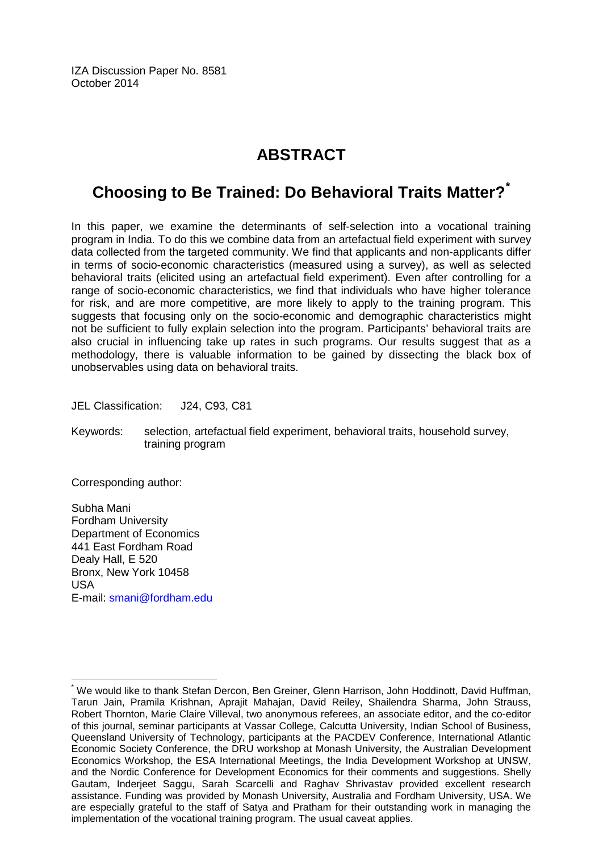IZA Discussion Paper No. 8581 October 2014

## **ABSTRACT**

## **Choosing to Be Trained: Do Behavioral Traits Matter?[\\*](#page-1-0)**

In this paper, we examine the determinants of self-selection into a vocational training program in India. To do this we combine data from an artefactual field experiment with survey data collected from the targeted community. We find that applicants and non-applicants differ in terms of socio-economic characteristics (measured using a survey), as well as selected behavioral traits (elicited using an artefactual field experiment). Even after controlling for a range of socio-economic characteristics, we find that individuals who have higher tolerance for risk, and are more competitive, are more likely to apply to the training program. This suggests that focusing only on the socio-economic and demographic characteristics might not be sufficient to fully explain selection into the program. Participants' behavioral traits are also crucial in influencing take up rates in such programs. Our results suggest that as a methodology, there is valuable information to be gained by dissecting the black box of unobservables using data on behavioral traits.

JEL Classification: J24, C93, C81

Keywords: selection, artefactual field experiment, behavioral traits, household survey, training program

Corresponding author:

Subha Mani Fordham University Department of Economics 441 East Fordham Road Dealy Hall, E 520 Bronx, New York 10458 USA E-mail: [smani@fordham.edu](mailto:smani@fordham.edu)

We would like to thank Stefan Dercon, Ben Greiner, Glenn Harrison, John Hoddinott, David Huffman, Tarun Jain, Pramila Krishnan, Aprajit Mahajan, David Reiley, Shailendra Sharma, John Strauss, Robert Thornton, Marie Claire Villeval, two anonymous referees, an associate editor, and the co-editor of this journal, seminar participants at Vassar College, Calcutta University, Indian School of Business, Queensland University of Technology, participants at the PACDEV Conference, International Atlantic Economic Society Conference, the DRU workshop at Monash University, the Australian Development Economics Workshop, the ESA International Meetings, the India Development Workshop at UNSW, and the Nordic Conference for Development Economics for their comments and suggestions. Shelly Gautam, Inderjeet Saggu, Sarah Scarcelli and Raghav Shrivastav provided excellent research assistance. Funding was provided by Monash University, Australia and Fordham University, USA. We are especially grateful to the staff of Satya and Pratham for their outstanding work in managing the implementation of the vocational training program. The usual caveat applies.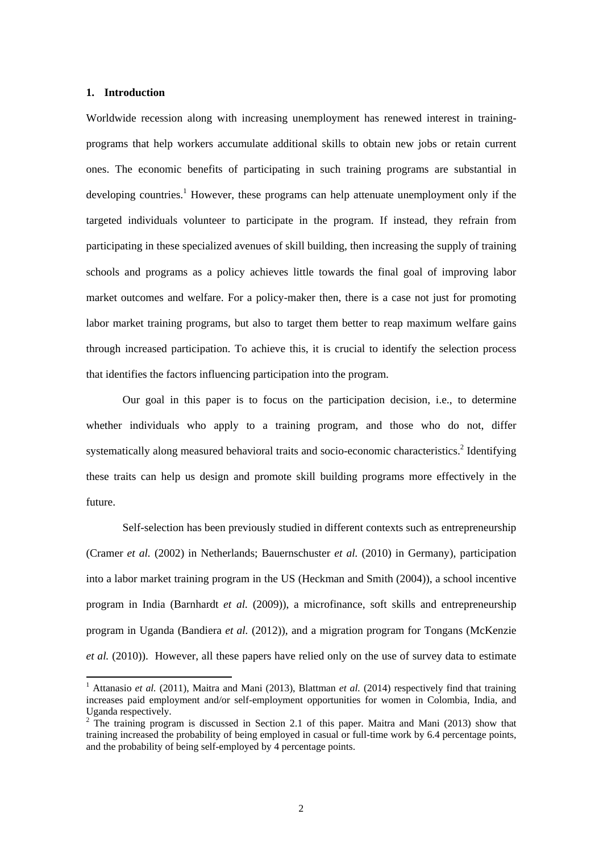#### **1. Introduction**

Worldwide recession along with increasing unemployment has renewed interest in trainingprograms that help workers accumulate additional skills to obtain new jobs or retain current ones. The economic benefits of participating in such training programs are substantial in developing countries.<sup>1</sup> However, these programs can help attenuate unemployment only if the targeted individuals volunteer to participate in the program. If instead, they refrain from participating in these specialized avenues of skill building, then increasing the supply of training schools and programs as a policy achieves little towards the final goal of improving labor market outcomes and welfare. For a policy-maker then, there is a case not just for promoting labor market training programs, but also to target them better to reap maximum welfare gains through increased participation. To achieve this, it is crucial to identify the selection process that identifies the factors influencing participation into the program.

Our goal in this paper is to focus on the participation decision, i.e., to determine whether individuals who apply to a training program, and those who do not, differ systematically along measured behavioral traits and socio-economic characteristics.<sup>2</sup> Identifying these traits can help us design and promote skill building programs more effectively in the future.

Self-selection has been previously studied in different contexts such as entrepreneurship (Cramer *et al.* (2002) in Netherlands; Bauernschuster *et al.* (2010) in Germany), participation into a labor market training program in the US (Heckman and Smith (2004)), a school incentive program in India (Barnhardt *et al.* (2009)), a microfinance, soft skills and entrepreneurship program in Uganda (Bandiera *et al.* (2012)), and a migration program for Tongans (McKenzie *et al.* (2010)). However, all these papers have relied only on the use of survey data to estimate

<sup>&</sup>lt;sup>1</sup> Attanasio *et al.* (2011), Maitra and Mani (2013), Blattman *et al.* (2014) respectively find that training increases paid employment and/or self-employment opportunities for women in Colombia, India, and Uganda respectively.

<sup>&</sup>lt;sup>2</sup> The training program is discussed in Section 2.1 of this paper. Maitra and Mani (2013) show that training increased the probability of being employed in casual or full-time work by 6.4 percentage points, and the probability of being self-employed by 4 percentage points.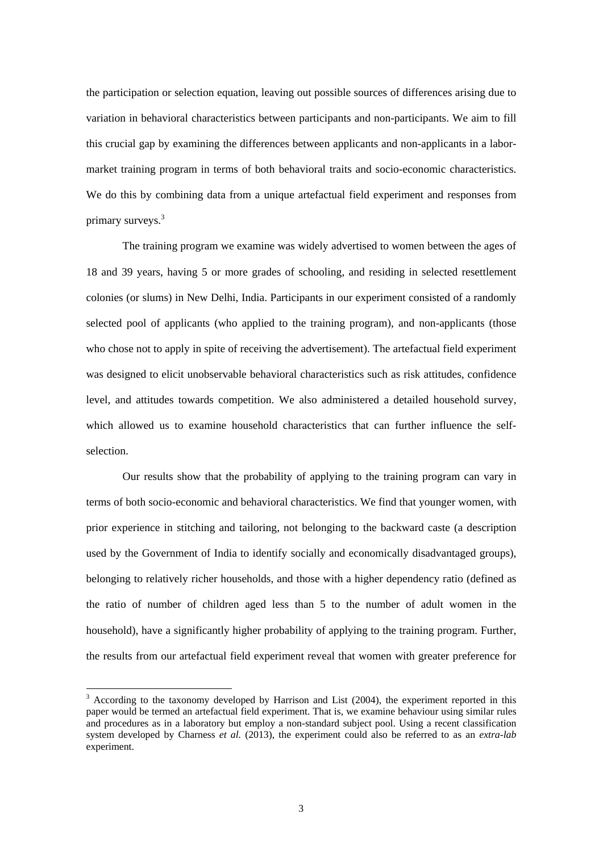the participation or selection equation, leaving out possible sources of differences arising due to variation in behavioral characteristics between participants and non-participants. We aim to fill this crucial gap by examining the differences between applicants and non-applicants in a labormarket training program in terms of both behavioral traits and socio-economic characteristics. We do this by combining data from a unique artefactual field experiment and responses from primary surveys.<sup>3</sup>

The training program we examine was widely advertised to women between the ages of 18 and 39 years, having 5 or more grades of schooling, and residing in selected resettlement colonies (or slums) in New Delhi, India. Participants in our experiment consisted of a randomly selected pool of applicants (who applied to the training program), and non-applicants (those who chose not to apply in spite of receiving the advertisement). The artefactual field experiment was designed to elicit unobservable behavioral characteristics such as risk attitudes, confidence level, and attitudes towards competition. We also administered a detailed household survey, which allowed us to examine household characteristics that can further influence the selfselection.

Our results show that the probability of applying to the training program can vary in terms of both socio-economic and behavioral characteristics. We find that younger women, with prior experience in stitching and tailoring, not belonging to the backward caste (a description used by the Government of India to identify socially and economically disadvantaged groups), belonging to relatively richer households, and those with a higher dependency ratio (defined as the ratio of number of children aged less than 5 to the number of adult women in the household), have a significantly higher probability of applying to the training program. Further, the results from our artefactual field experiment reveal that women with greater preference for

<sup>&</sup>lt;sup>3</sup> According to the taxonomy developed by Harrison and List (2004), the experiment reported in this paper would be termed an artefactual field experiment. That is, we examine behaviour using similar rules and procedures as in a laboratory but employ a non-standard subject pool. Using a recent classification system developed by Charness *et al.* (2013), the experiment could also be referred to as an *extra-lab* experiment.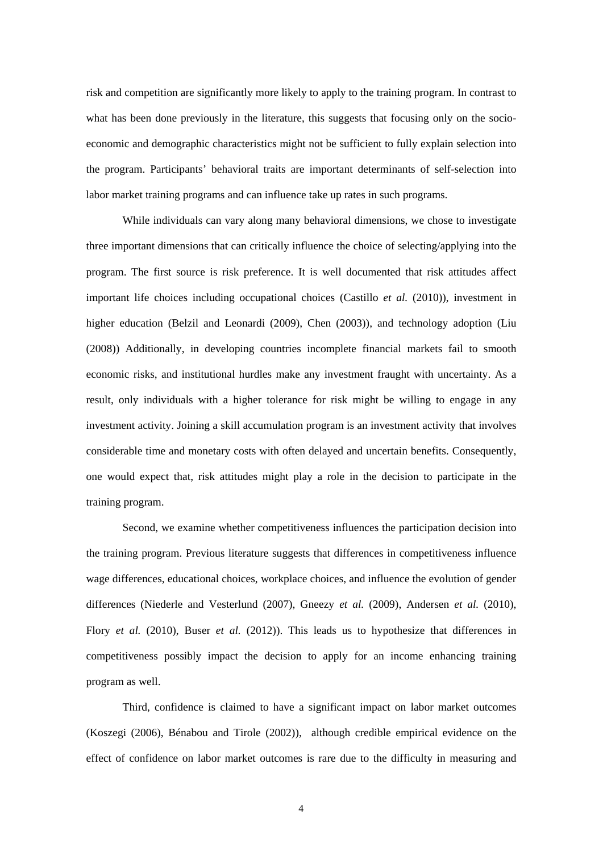risk and competition are significantly more likely to apply to the training program. In contrast to what has been done previously in the literature, this suggests that focusing only on the socioeconomic and demographic characteristics might not be sufficient to fully explain selection into the program. Participants' behavioral traits are important determinants of self-selection into labor market training programs and can influence take up rates in such programs.

While individuals can vary along many behavioral dimensions, we chose to investigate three important dimensions that can critically influence the choice of selecting/applying into the program. The first source is risk preference. It is well documented that risk attitudes affect important life choices including occupational choices (Castillo *et al.* (2010)), investment in higher education (Belzil and Leonardi (2009), Chen (2003)), and technology adoption (Liu (2008)) Additionally, in developing countries incomplete financial markets fail to smooth economic risks, and institutional hurdles make any investment fraught with uncertainty. As a result, only individuals with a higher tolerance for risk might be willing to engage in any investment activity. Joining a skill accumulation program is an investment activity that involves considerable time and monetary costs with often delayed and uncertain benefits. Consequently, one would expect that, risk attitudes might play a role in the decision to participate in the training program.

Second, we examine whether competitiveness influences the participation decision into the training program. Previous literature suggests that differences in competitiveness influence wage differences, educational choices, workplace choices, and influence the evolution of gender differences (Niederle and Vesterlund (2007), Gneezy *et al.* (2009), Andersen *et al.* (2010), Flory *et al.* (2010), Buser *et al.* (2012)). This leads us to hypothesize that differences in competitiveness possibly impact the decision to apply for an income enhancing training program as well.

Third, confidence is claimed to have a significant impact on labor market outcomes (Koszegi (2006), Bénabou and Tirole (2002)), although credible empirical evidence on the effect of confidence on labor market outcomes is rare due to the difficulty in measuring and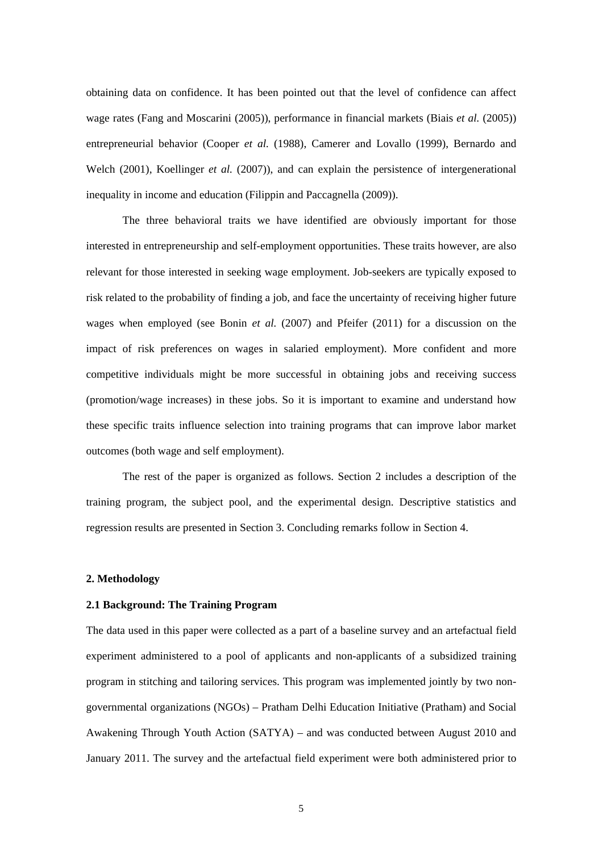obtaining data on confidence. It has been pointed out that the level of confidence can affect wage rates (Fang and Moscarini (2005)), performance in financial markets (Biais *et al.* (2005)) entrepreneurial behavior (Cooper *et al.* (1988), Camerer and Lovallo (1999), Bernardo and Welch (2001), Koellinger *et al.* (2007)), and can explain the persistence of intergenerational inequality in income and education (Filippin and Paccagnella (2009)).

The three behavioral traits we have identified are obviously important for those interested in entrepreneurship and self-employment opportunities. These traits however, are also relevant for those interested in seeking wage employment. Job-seekers are typically exposed to risk related to the probability of finding a job, and face the uncertainty of receiving higher future wages when employed (see Bonin *et al.* (2007) and Pfeifer (2011) for a discussion on the impact of risk preferences on wages in salaried employment). More confident and more competitive individuals might be more successful in obtaining jobs and receiving success (promotion/wage increases) in these jobs. So it is important to examine and understand how these specific traits influence selection into training programs that can improve labor market outcomes (both wage and self employment).

The rest of the paper is organized as follows. Section 2 includes a description of the training program, the subject pool, and the experimental design. Descriptive statistics and regression results are presented in Section 3. Concluding remarks follow in Section 4.

#### **2. Methodology**

#### **2.1 Background: The Training Program**

The data used in this paper were collected as a part of a baseline survey and an artefactual field experiment administered to a pool of applicants and non-applicants of a subsidized training program in stitching and tailoring services. This program was implemented jointly by two nongovernmental organizations (NGOs) – Pratham Delhi Education Initiative (Pratham) and Social Awakening Through Youth Action (SATYA) – and was conducted between August 2010 and January 2011. The survey and the artefactual field experiment were both administered prior to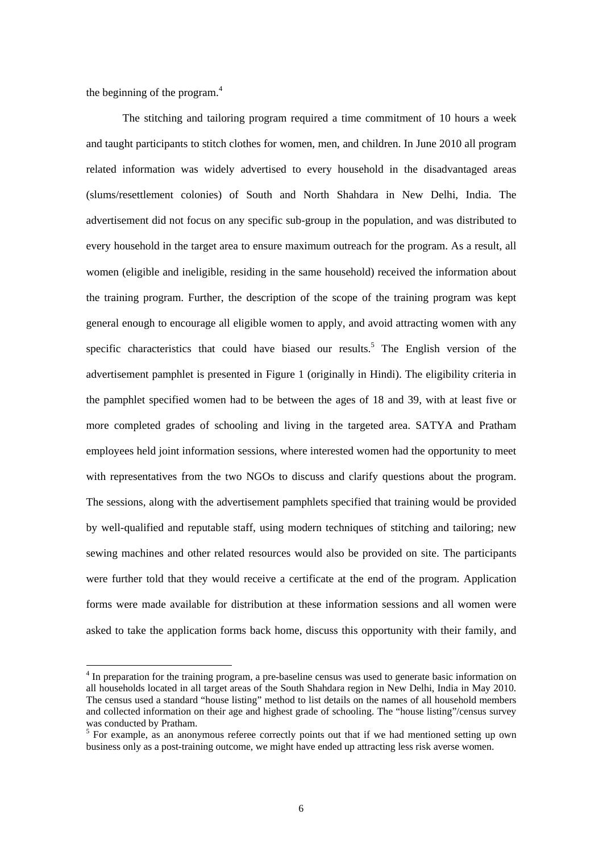the beginning of the program. $4$ 

The stitching and tailoring program required a time commitment of 10 hours a week and taught participants to stitch clothes for women, men, and children. In June 2010 all program related information was widely advertised to every household in the disadvantaged areas (slums/resettlement colonies) of South and North Shahdara in New Delhi, India. The advertisement did not focus on any specific sub-group in the population, and was distributed to every household in the target area to ensure maximum outreach for the program. As a result, all women (eligible and ineligible, residing in the same household) received the information about the training program. Further, the description of the scope of the training program was kept general enough to encourage all eligible women to apply, and avoid attracting women with any specific characteristics that could have biased our results.<sup>5</sup> The English version of the advertisement pamphlet is presented in Figure 1 (originally in Hindi). The eligibility criteria in the pamphlet specified women had to be between the ages of 18 and 39, with at least five or more completed grades of schooling and living in the targeted area. SATYA and Pratham employees held joint information sessions, where interested women had the opportunity to meet with representatives from the two NGOs to discuss and clarify questions about the program. The sessions, along with the advertisement pamphlets specified that training would be provided by well-qualified and reputable staff, using modern techniques of stitching and tailoring; new sewing machines and other related resources would also be provided on site. The participants were further told that they would receive a certificate at the end of the program. Application forms were made available for distribution at these information sessions and all women were asked to take the application forms back home, discuss this opportunity with their family, and

<sup>&</sup>lt;sup>4</sup> In preparation for the training program, a pre-baseline census was used to generate basic information on all households located in all target areas of the South Shahdara region in New Delhi, India in May 2010. The census used a standard "house listing" method to list details on the names of all household members and collected information on their age and highest grade of schooling. The "house listing"/census survey was conducted by Pratham.

<sup>&</sup>lt;sup>5</sup> For example, as an anonymous referee correctly points out that if we had mentioned setting up own business only as a post-training outcome, we might have ended up attracting less risk averse women.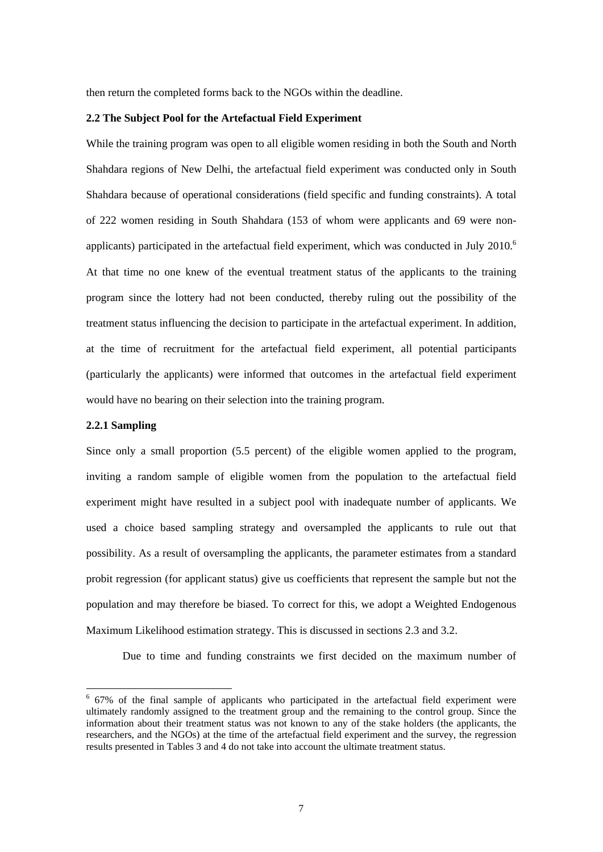then return the completed forms back to the NGOs within the deadline.

#### **2.2 The Subject Pool for the Artefactual Field Experiment**

While the training program was open to all eligible women residing in both the South and North Shahdara regions of New Delhi, the artefactual field experiment was conducted only in South Shahdara because of operational considerations (field specific and funding constraints). A total of 222 women residing in South Shahdara (153 of whom were applicants and 69 were nonapplicants) participated in the artefactual field experiment, which was conducted in July  $2010<sup>6</sup>$ At that time no one knew of the eventual treatment status of the applicants to the training program since the lottery had not been conducted, thereby ruling out the possibility of the treatment status influencing the decision to participate in the artefactual experiment. In addition, at the time of recruitment for the artefactual field experiment, all potential participants (particularly the applicants) were informed that outcomes in the artefactual field experiment would have no bearing on their selection into the training program.

#### **2.2.1 Sampling**

Since only a small proportion (5.5 percent) of the eligible women applied to the program, inviting a random sample of eligible women from the population to the artefactual field experiment might have resulted in a subject pool with inadequate number of applicants. We used a choice based sampling strategy and oversampled the applicants to rule out that possibility. As a result of oversampling the applicants, the parameter estimates from a standard probit regression (for applicant status) give us coefficients that represent the sample but not the population and may therefore be biased. To correct for this, we adopt a Weighted Endogenous Maximum Likelihood estimation strategy. This is discussed in sections 2.3 and 3.2.

Due to time and funding constraints we first decided on the maximum number of

<sup>&</sup>lt;sup>6</sup> 67% of the final sample of applicants who participated in the artefactual field experiment were ultimately randomly assigned to the treatment group and the remaining to the control group. Since the information about their treatment status was not known to any of the stake holders (the applicants, the researchers, and the NGOs) at the time of the artefactual field experiment and the survey, the regression results presented in Tables 3 and 4 do not take into account the ultimate treatment status.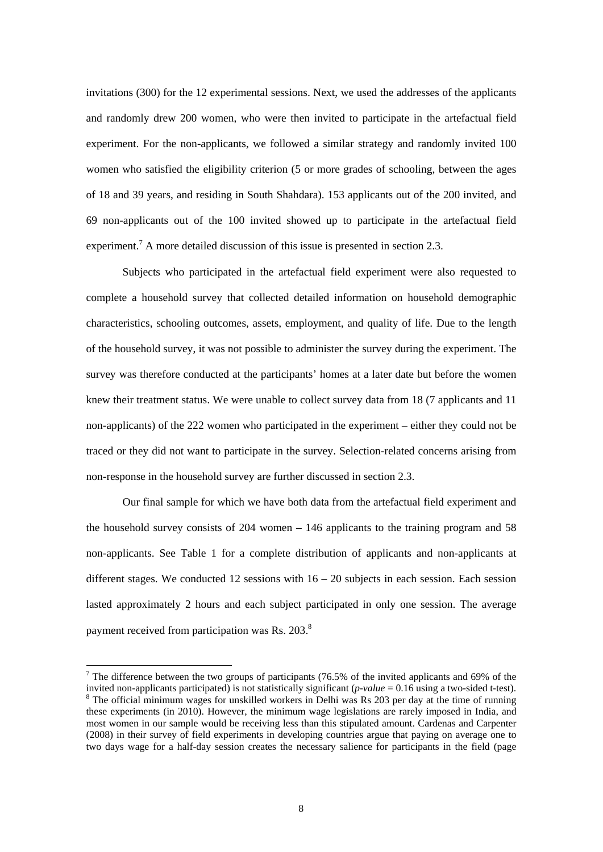invitations (300) for the 12 experimental sessions. Next, we used the addresses of the applicants and randomly drew 200 women, who were then invited to participate in the artefactual field experiment. For the non-applicants, we followed a similar strategy and randomly invited 100 women who satisfied the eligibility criterion (5 or more grades of schooling, between the ages of 18 and 39 years, and residing in South Shahdara). 153 applicants out of the 200 invited, and 69 non-applicants out of the 100 invited showed up to participate in the artefactual field experiment.<sup>7</sup> A more detailed discussion of this issue is presented in section 2.3.

Subjects who participated in the artefactual field experiment were also requested to complete a household survey that collected detailed information on household demographic characteristics, schooling outcomes, assets, employment, and quality of life. Due to the length of the household survey, it was not possible to administer the survey during the experiment. The survey was therefore conducted at the participants' homes at a later date but before the women knew their treatment status. We were unable to collect survey data from 18 (7 applicants and 11 non-applicants) of the 222 women who participated in the experiment – either they could not be traced or they did not want to participate in the survey. Selection-related concerns arising from non-response in the household survey are further discussed in section 2.3.

Our final sample for which we have both data from the artefactual field experiment and the household survey consists of 204 women – 146 applicants to the training program and 58 non-applicants. See Table 1 for a complete distribution of applicants and non-applicants at different stages. We conducted 12 sessions with  $16 - 20$  subjects in each session. Each session lasted approximately 2 hours and each subject participated in only one session. The average payment received from participation was Rs. 203.<sup>8</sup>

<sup>&</sup>lt;sup>7</sup> The difference between the two groups of participants (76.5% of the invited applicants and 69% of the invited non-applicants participated) is not statistically significant ( $p-value = 0.16$  using a two-sided t-test).  $8$  The official minimum wages for unskilled workers in Delhi was Rs 203 per day at the time of running these experiments (in 2010). However, the minimum wage legislations are rarely imposed in India, and most women in our sample would be receiving less than this stipulated amount. Cardenas and Carpenter (2008) in their survey of field experiments in developing countries argue that paying on average one to two days wage for a half-day session creates the necessary salience for participants in the field (page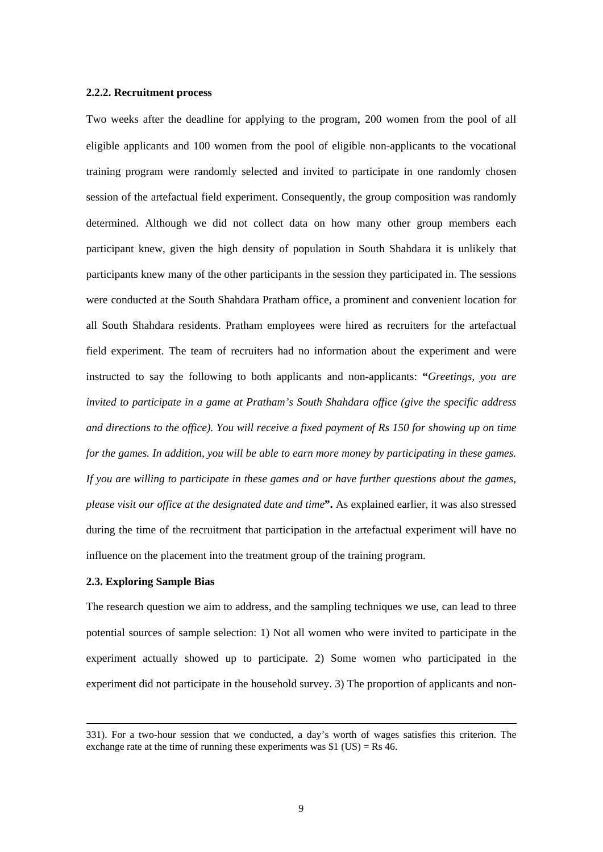#### **2.2.2. Recruitment process**

Two weeks after the deadline for applying to the program, 200 women from the pool of all eligible applicants and 100 women from the pool of eligible non-applicants to the vocational training program were randomly selected and invited to participate in one randomly chosen session of the artefactual field experiment. Consequently, the group composition was randomly determined. Although we did not collect data on how many other group members each participant knew, given the high density of population in South Shahdara it is unlikely that participants knew many of the other participants in the session they participated in. The sessions were conducted at the South Shahdara Pratham office, a prominent and convenient location for all South Shahdara residents. Pratham employees were hired as recruiters for the artefactual field experiment. The team of recruiters had no information about the experiment and were instructed to say the following to both applicants and non-applicants: **"***Greetings, you are invited to participate in a game at Pratham's South Shahdara office (give the specific address and directions to the office). You will receive a fixed payment of Rs 150 for showing up on time for the games. In addition, you will be able to earn more money by participating in these games. If you are willing to participate in these games and or have further questions about the games, please visit our office at the designated date and time***".** As explained earlier, it was also stressed during the time of the recruitment that participation in the artefactual experiment will have no influence on the placement into the treatment group of the training program.

#### **2.3. Exploring Sample Bias**

The research question we aim to address, and the sampling techniques we use, can lead to three potential sources of sample selection: 1) Not all women who were invited to participate in the experiment actually showed up to participate. 2) Some women who participated in the experiment did not participate in the household survey. 3) The proportion of applicants and non-

<sup>&</sup>lt;u> Andrewski politika (za obrazu pod obrazu pod obrazu pod obrazu pod obrazu pod obrazu pod obrazu pod obrazu p</u> 331). For a two-hour session that we conducted, a day's worth of wages satisfies this criterion. The exchange rate at the time of running these experiments was  $$1 (US) = Rs 46$ .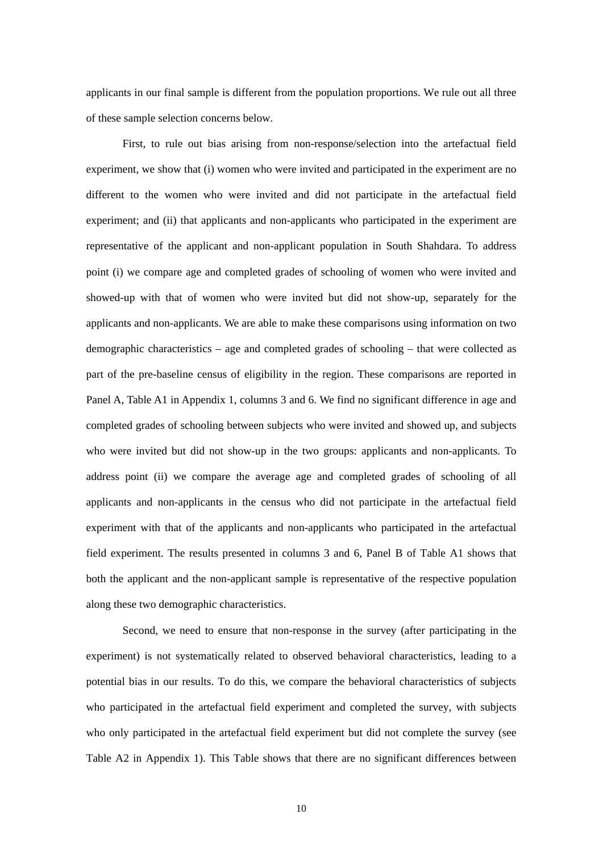applicants in our final sample is different from the population proportions. We rule out all three of these sample selection concerns below.

First, to rule out bias arising from non-response/selection into the artefactual field experiment, we show that (i) women who were invited and participated in the experiment are no different to the women who were invited and did not participate in the artefactual field experiment; and (ii) that applicants and non-applicants who participated in the experiment are representative of the applicant and non-applicant population in South Shahdara. To address point (i) we compare age and completed grades of schooling of women who were invited and showed-up with that of women who were invited but did not show-up, separately for the applicants and non-applicants. We are able to make these comparisons using information on two demographic characteristics – age and completed grades of schooling – that were collected as part of the pre-baseline census of eligibility in the region. These comparisons are reported in Panel A, Table A1 in Appendix 1, columns 3 and 6. We find no significant difference in age and completed grades of schooling between subjects who were invited and showed up, and subjects who were invited but did not show-up in the two groups: applicants and non-applicants. To address point (ii) we compare the average age and completed grades of schooling of all applicants and non-applicants in the census who did not participate in the artefactual field experiment with that of the applicants and non-applicants who participated in the artefactual field experiment. The results presented in columns 3 and 6, Panel B of Table A1 shows that both the applicant and the non-applicant sample is representative of the respective population along these two demographic characteristics.

 Second, we need to ensure that non-response in the survey (after participating in the experiment) is not systematically related to observed behavioral characteristics, leading to a potential bias in our results. To do this, we compare the behavioral characteristics of subjects who participated in the artefactual field experiment and completed the survey, with subjects who only participated in the artefactual field experiment but did not complete the survey (see Table A2 in Appendix 1). This Table shows that there are no significant differences between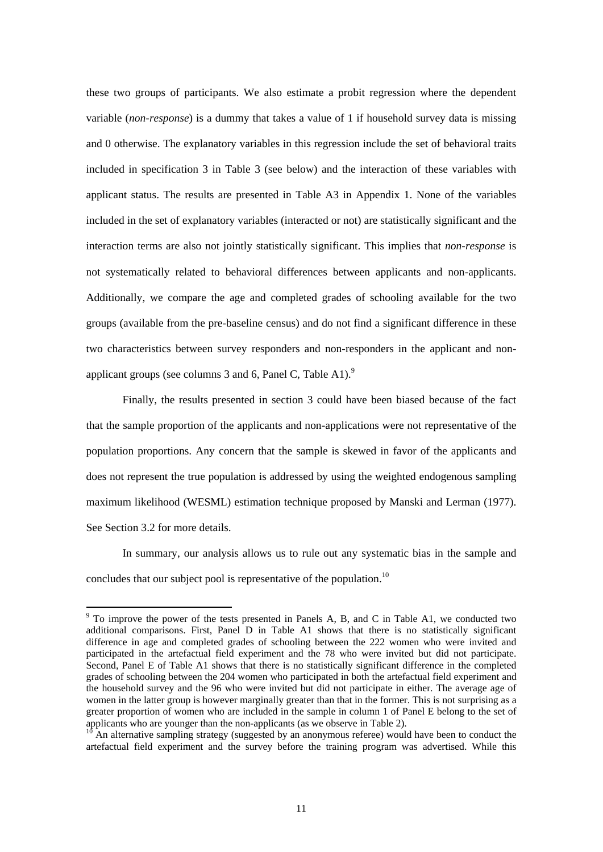these two groups of participants. We also estimate a probit regression where the dependent variable (*non-response*) is a dummy that takes a value of 1 if household survey data is missing and 0 otherwise. The explanatory variables in this regression include the set of behavioral traits included in specification 3 in Table 3 (see below) and the interaction of these variables with applicant status. The results are presented in Table A3 in Appendix 1. None of the variables included in the set of explanatory variables (interacted or not) are statistically significant and the interaction terms are also not jointly statistically significant. This implies that *non-response* is not systematically related to behavioral differences between applicants and non-applicants. Additionally, we compare the age and completed grades of schooling available for the two groups (available from the pre-baseline census) and do not find a significant difference in these two characteristics between survey responders and non-responders in the applicant and nonapplicant groups (see columns 3 and 6, Panel C, Table A1). $^{9}$ 

 Finally, the results presented in section 3 could have been biased because of the fact that the sample proportion of the applicants and non-applications were not representative of the population proportions. Any concern that the sample is skewed in favor of the applicants and does not represent the true population is addressed by using the weighted endogenous sampling maximum likelihood (WESML) estimation technique proposed by Manski and Lerman (1977). See Section 3.2 for more details.

 In summary, our analysis allows us to rule out any systematic bias in the sample and concludes that our subject pool is representative of the population.<sup>10</sup>

 $9^9$  To improve the power of the tests presented in Panels A, B, and C in Table A1, we conducted two additional comparisons. First, Panel D in Table A1 shows that there is no statistically significant difference in age and completed grades of schooling between the 222 women who were invited and participated in the artefactual field experiment and the 78 who were invited but did not participate. Second, Panel E of Table A1 shows that there is no statistically significant difference in the completed grades of schooling between the 204 women who participated in both the artefactual field experiment and the household survey and the 96 who were invited but did not participate in either. The average age of women in the latter group is however marginally greater than that in the former. This is not surprising as a greater proportion of women who are included in the sample in column 1 of Panel E belong to the set of applicants who are younger than the non-applicants (as we observe in Table 2).<br><sup>10</sup> An alternative sampling strategy (suggested by an anonymous referee) would have been to conduct the

artefactual field experiment and the survey before the training program was advertised. While this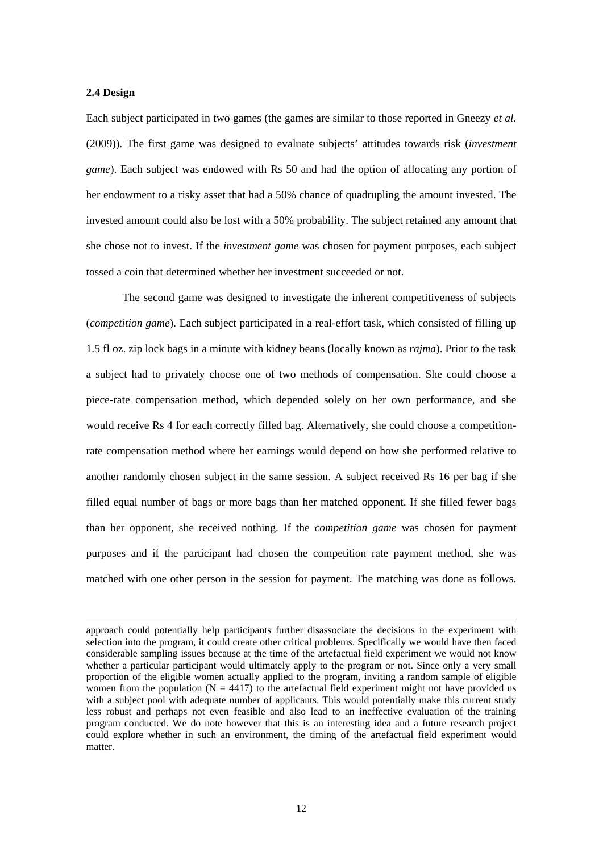#### **2.4 Design**

Each subject participated in two games (the games are similar to those reported in Gneezy *et al.* (2009)). The first game was designed to evaluate subjects' attitudes towards risk (*investment game*). Each subject was endowed with Rs 50 and had the option of allocating any portion of her endowment to a risky asset that had a 50% chance of quadrupling the amount invested. The invested amount could also be lost with a 50% probability. The subject retained any amount that she chose not to invest. If the *investment game* was chosen for payment purposes, each subject tossed a coin that determined whether her investment succeeded or not.

The second game was designed to investigate the inherent competitiveness of subjects (*competition game*). Each subject participated in a real-effort task, which consisted of filling up 1.5 fl oz. zip lock bags in a minute with kidney beans (locally known as *rajma*). Prior to the task a subject had to privately choose one of two methods of compensation. She could choose a piece-rate compensation method, which depended solely on her own performance, and she would receive Rs 4 for each correctly filled bag. Alternatively, she could choose a competitionrate compensation method where her earnings would depend on how she performed relative to another randomly chosen subject in the same session. A subject received Rs 16 per bag if she filled equal number of bags or more bags than her matched opponent. If she filled fewer bags than her opponent, she received nothing. If the *competition game* was chosen for payment purposes and if the participant had chosen the competition rate payment method, she was matched with one other person in the session for payment. The matching was done as follows.

<u> Alexandria de la contrada de la contrada de la contrada de la contrada de la contrada de la contrada de la c</u>

approach could potentially help participants further disassociate the decisions in the experiment with selection into the program, it could create other critical problems. Specifically we would have then faced considerable sampling issues because at the time of the artefactual field experiment we would not know whether a particular participant would ultimately apply to the program or not. Since only a very small proportion of the eligible women actually applied to the program, inviting a random sample of eligible women from the population  $(N = 4417)$  to the artefactual field experiment might not have provided us with a subject pool with adequate number of applicants. This would potentially make this current study less robust and perhaps not even feasible and also lead to an ineffective evaluation of the training program conducted. We do note however that this is an interesting idea and a future research project could explore whether in such an environment, the timing of the artefactual field experiment would matter.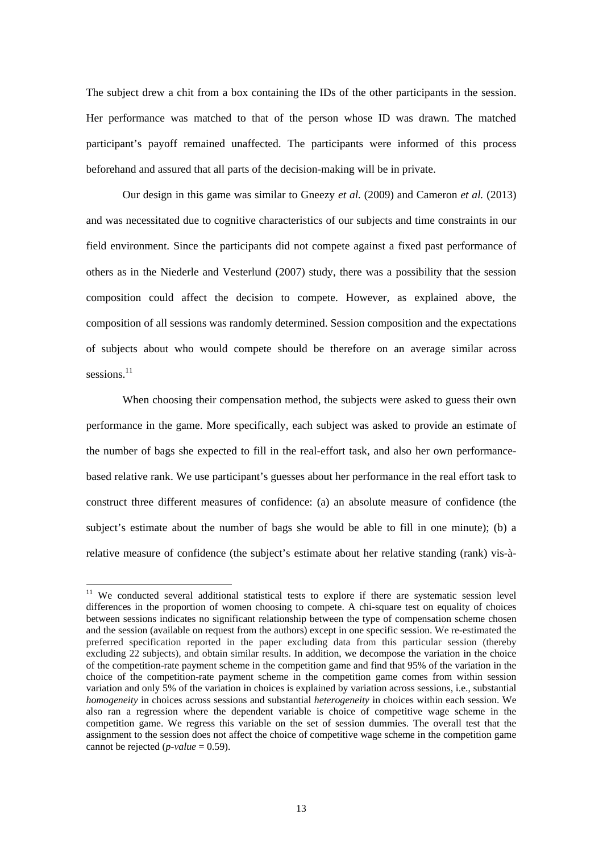The subject drew a chit from a box containing the IDs of the other participants in the session. Her performance was matched to that of the person whose ID was drawn. The matched participant's payoff remained unaffected. The participants were informed of this process beforehand and assured that all parts of the decision-making will be in private.

Our design in this game was similar to Gneezy *et al.* (2009) and Cameron *et al.* (2013) and was necessitated due to cognitive characteristics of our subjects and time constraints in our field environment. Since the participants did not compete against a fixed past performance of others as in the Niederle and Vesterlund (2007) study, there was a possibility that the session composition could affect the decision to compete. However, as explained above, the composition of all sessions was randomly determined. Session composition and the expectations of subjects about who would compete should be therefore on an average similar across sessions<sup>11</sup>

When choosing their compensation method, the subjects were asked to guess their own performance in the game. More specifically, each subject was asked to provide an estimate of the number of bags she expected to fill in the real-effort task, and also her own performancebased relative rank. We use participant's guesses about her performance in the real effort task to construct three different measures of confidence: (a) an absolute measure of confidence (the subject's estimate about the number of bags she would be able to fill in one minute); (b) a relative measure of confidence (the subject's estimate about her relative standing (rank) vis-à-

<sup>&</sup>lt;sup>11</sup> We conducted several additional statistical tests to explore if there are systematic session level differences in the proportion of women choosing to compete. A chi-square test on equality of choices between sessions indicates no significant relationship between the type of compensation scheme chosen and the session (available on request from the authors) except in one specific session. We re-estimated the preferred specification reported in the paper excluding data from this particular session (thereby excluding 22 subjects), and obtain similar results. In addition, we decompose the variation in the choice of the competition-rate payment scheme in the competition game and find that 95% of the variation in the choice of the competition-rate payment scheme in the competition game comes from within session variation and only 5% of the variation in choices is explained by variation across sessions, i.e., substantial *homogeneity* in choices across sessions and substantial *heterogeneity* in choices within each session. We also ran a regression where the dependent variable is choice of competitive wage scheme in the competition game. We regress this variable on the set of session dummies. The overall test that the assignment to the session does not affect the choice of competitive wage scheme in the competition game cannot be rejected (*p-value* = 0.59).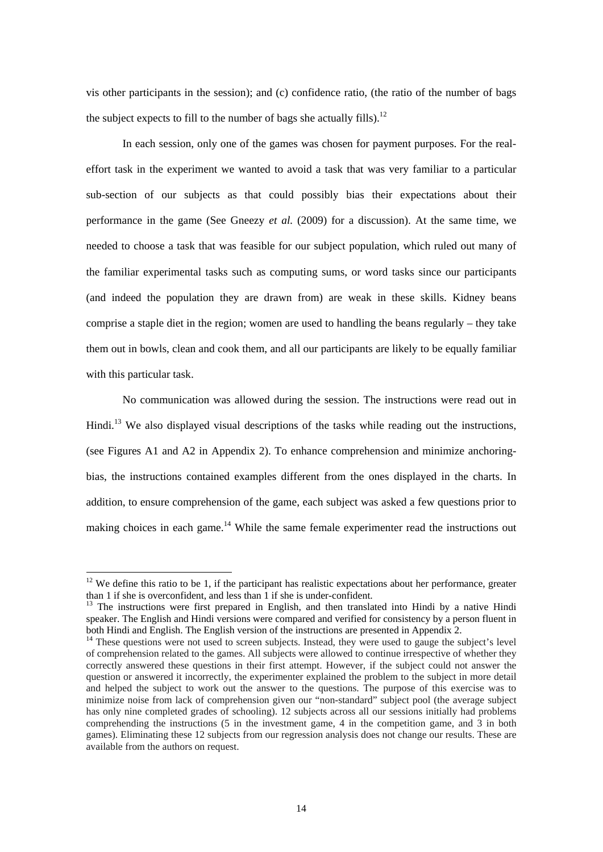vis other participants in the session); and (c) confidence ratio, (the ratio of the number of bags the subject expects to fill to the number of bags she actually fills).<sup>12</sup>

In each session, only one of the games was chosen for payment purposes. For the realeffort task in the experiment we wanted to avoid a task that was very familiar to a particular sub-section of our subjects as that could possibly bias their expectations about their performance in the game (See Gneezy *et al.* (2009) for a discussion). At the same time, we needed to choose a task that was feasible for our subject population, which ruled out many of the familiar experimental tasks such as computing sums, or word tasks since our participants (and indeed the population they are drawn from) are weak in these skills. Kidney beans comprise a staple diet in the region; women are used to handling the beans regularly – they take them out in bowls, clean and cook them, and all our participants are likely to be equally familiar with this particular task.

No communication was allowed during the session. The instructions were read out in Hindi.<sup>13</sup> We also displayed visual descriptions of the tasks while reading out the instructions, (see Figures A1 and A2 in Appendix 2). To enhance comprehension and minimize anchoringbias, the instructions contained examples different from the ones displayed in the charts. In addition, to ensure comprehension of the game, each subject was asked a few questions prior to making choices in each game.<sup>14</sup> While the same female experimenter read the instructions out

 $12$  We define this ratio to be 1, if the participant has realistic expectations about her performance, greater than 1 if she is overconfident, and less than 1 if she is under-confident.

 $13$  The instructions were first prepared in English, and then translated into Hindi by a native Hindi speaker. The English and Hindi versions were compared and verified for consistency by a person fluent in both Hindi and English. The English version of the instructions are presented in Appendix 2.

<sup>&</sup>lt;sup>14</sup> These questions were not used to screen subjects. Instead, they were used to gauge the subject's level of comprehension related to the games. All subjects were allowed to continue irrespective of whether they correctly answered these questions in their first attempt. However, if the subject could not answer the question or answered it incorrectly, the experimenter explained the problem to the subject in more detail and helped the subject to work out the answer to the questions. The purpose of this exercise was to minimize noise from lack of comprehension given our "non-standard" subject pool (the average subject has only nine completed grades of schooling). 12 subjects across all our sessions initially had problems comprehending the instructions (5 in the investment game, 4 in the competition game, and 3 in both games). Eliminating these 12 subjects from our regression analysis does not change our results. These are available from the authors on request.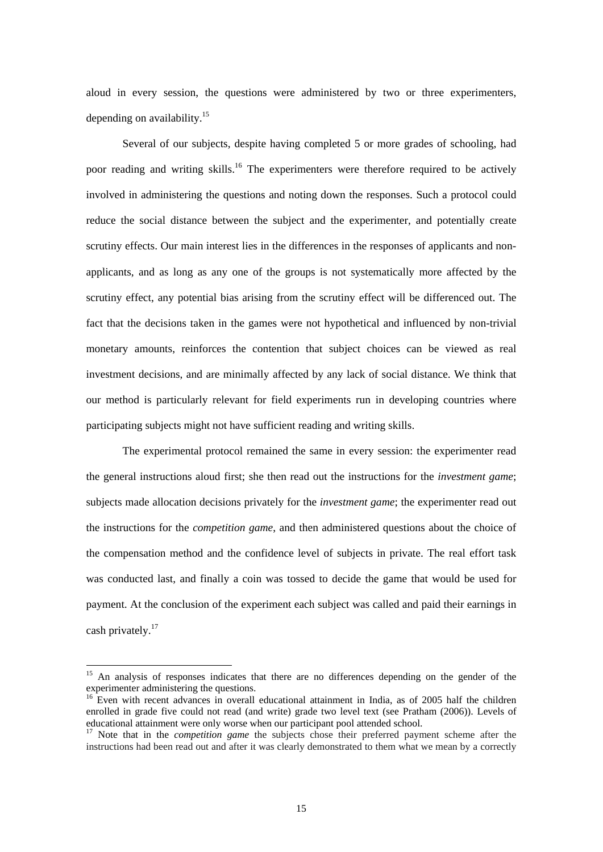aloud in every session, the questions were administered by two or three experimenters, depending on availability.<sup>15</sup>

Several of our subjects, despite having completed 5 or more grades of schooling, had poor reading and writing skills.<sup>16</sup> The experimenters were therefore required to be actively involved in administering the questions and noting down the responses. Such a protocol could reduce the social distance between the subject and the experimenter, and potentially create scrutiny effects. Our main interest lies in the differences in the responses of applicants and nonapplicants, and as long as any one of the groups is not systematically more affected by the scrutiny effect, any potential bias arising from the scrutiny effect will be differenced out. The fact that the decisions taken in the games were not hypothetical and influenced by non-trivial monetary amounts, reinforces the contention that subject choices can be viewed as real investment decisions, and are minimally affected by any lack of social distance. We think that our method is particularly relevant for field experiments run in developing countries where participating subjects might not have sufficient reading and writing skills.

The experimental protocol remained the same in every session: the experimenter read the general instructions aloud first; she then read out the instructions for the *investment game*; subjects made allocation decisions privately for the *investment game*; the experimenter read out the instructions for the *competition game*, and then administered questions about the choice of the compensation method and the confidence level of subjects in private. The real effort task was conducted last, and finally a coin was tossed to decide the game that would be used for payment. At the conclusion of the experiment each subject was called and paid their earnings in cash privately.<sup>17</sup>

<sup>&</sup>lt;sup>15</sup> An analysis of responses indicates that there are no differences depending on the gender of the experimenter administering the questions.

<sup>&</sup>lt;sup>16</sup> Even with recent advances in overall educational attainment in India, as of 2005 half the children enrolled in grade five could not read (and write) grade two level text (see Pratham (2006)). Levels of educational attainment were only worse when our participant pool attended school.

<sup>&</sup>lt;sup>17</sup> Note that in the *competition game* the subjects chose their preferred payment scheme after the instructions had been read out and after it was clearly demonstrated to them what we mean by a correctly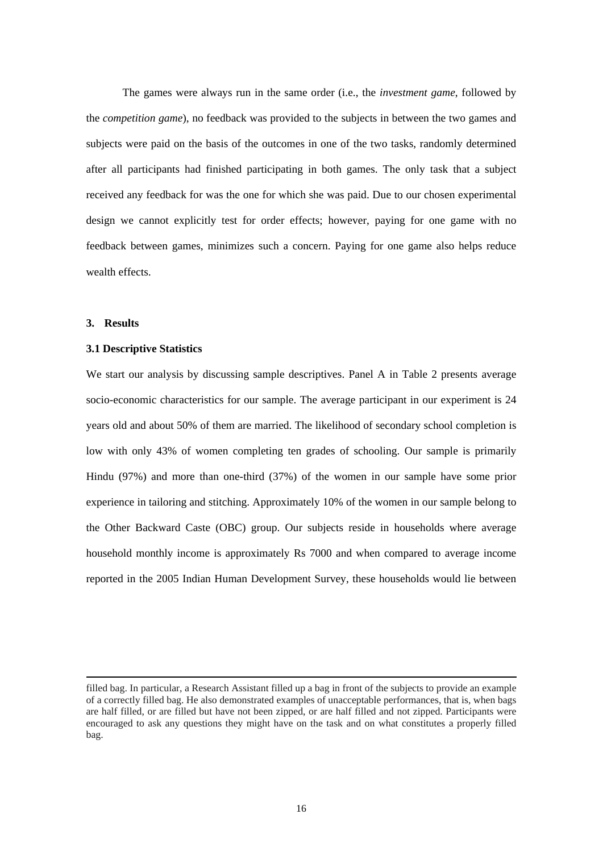The games were always run in the same order (i.e., the *investment game*, followed by the *competition game*), no feedback was provided to the subjects in between the two games and subjects were paid on the basis of the outcomes in one of the two tasks, randomly determined after all participants had finished participating in both games. The only task that a subject received any feedback for was the one for which she was paid. Due to our chosen experimental design we cannot explicitly test for order effects; however, paying for one game with no feedback between games, minimizes such a concern. Paying for one game also helps reduce wealth effects.

#### **3. Results**

#### **3.1 Descriptive Statistics**

We start our analysis by discussing sample descriptives. Panel A in Table 2 presents average socio-economic characteristics for our sample. The average participant in our experiment is 24 years old and about 50% of them are married. The likelihood of secondary school completion is low with only 43% of women completing ten grades of schooling. Our sample is primarily Hindu (97%) and more than one-third (37%) of the women in our sample have some prior experience in tailoring and stitching. Approximately 10% of the women in our sample belong to the Other Backward Caste (OBC) group. Our subjects reside in households where average household monthly income is approximately Rs 7000 and when compared to average income reported in the 2005 Indian Human Development Survey, these households would lie between

<u> Andrewski politika (za obrazu pod obrazu pod obrazu pod obrazu pod obrazu pod obrazu pod obrazu pod obrazu p</u>

filled bag. In particular, a Research Assistant filled up a bag in front of the subjects to provide an example of a correctly filled bag. He also demonstrated examples of unacceptable performances, that is, when bags are half filled, or are filled but have not been zipped, or are half filled and not zipped. Participants were encouraged to ask any questions they might have on the task and on what constitutes a properly filled bag.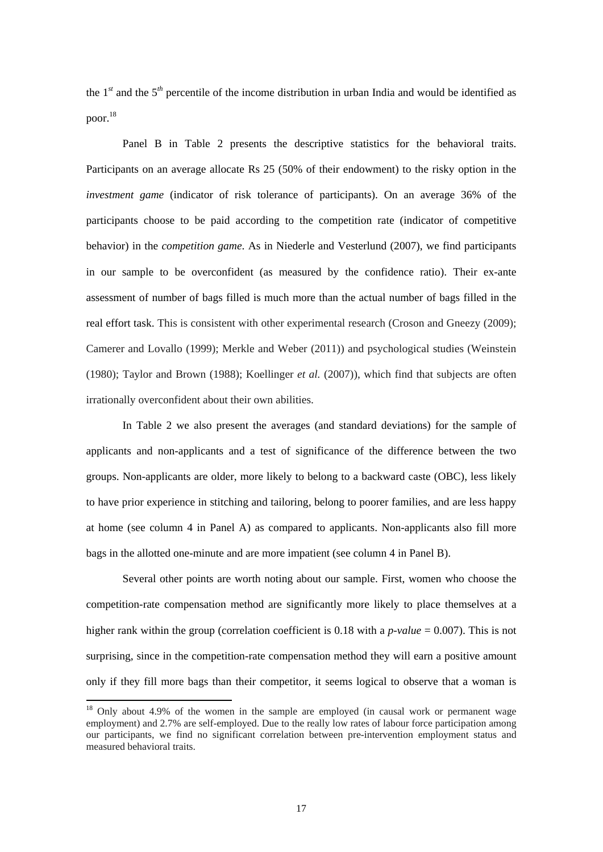the 1*st* and the 5*th* percentile of the income distribution in urban India and would be identified as poor.18

Panel B in Table 2 presents the descriptive statistics for the behavioral traits. Participants on an average allocate Rs 25 (50% of their endowment) to the risky option in the *investment game* (indicator of risk tolerance of participants). On an average 36% of the participants choose to be paid according to the competition rate (indicator of competitive behavior) in the *competition game*. As in Niederle and Vesterlund (2007), we find participants in our sample to be overconfident (as measured by the confidence ratio). Their ex-ante assessment of number of bags filled is much more than the actual number of bags filled in the real effort task. This is consistent with other experimental research (Croson and Gneezy (2009); Camerer and Lovallo (1999); Merkle and Weber (2011)) and psychological studies (Weinstein (1980); Taylor and Brown (1988); Koellinger *et al.* (2007)), which find that subjects are often irrationally overconfident about their own abilities.

In Table 2 we also present the averages (and standard deviations) for the sample of applicants and non-applicants and a test of significance of the difference between the two groups. Non-applicants are older, more likely to belong to a backward caste (OBC), less likely to have prior experience in stitching and tailoring, belong to poorer families, and are less happy at home (see column 4 in Panel A) as compared to applicants. Non-applicants also fill more bags in the allotted one-minute and are more impatient (see column 4 in Panel B).

Several other points are worth noting about our sample. First, women who choose the competition-rate compensation method are significantly more likely to place themselves at a higher rank within the group (correlation coefficient is 0.18 with a *p-value* = 0.007). This is not surprising, since in the competition-rate compensation method they will earn a positive amount only if they fill more bags than their competitor, it seems logical to observe that a woman is

 $18$  Only about 4.9% of the women in the sample are employed (in causal work or permanent wage employment) and 2.7% are self-employed. Due to the really low rates of labour force participation among our participants, we find no significant correlation between pre-intervention employment status and measured behavioral traits.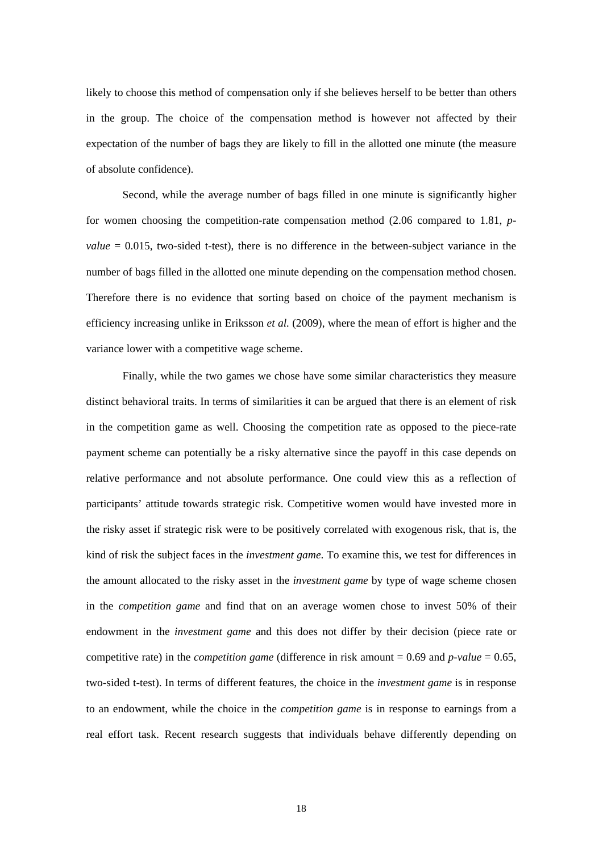likely to choose this method of compensation only if she believes herself to be better than others in the group. The choice of the compensation method is however not affected by their expectation of the number of bags they are likely to fill in the allotted one minute (the measure of absolute confidence).

Second, while the average number of bags filled in one minute is significantly higher for women choosing the competition-rate compensation method (2.06 compared to 1.81, *p* $value = 0.015$ , two-sided t-test), there is no difference in the between-subject variance in the number of bags filled in the allotted one minute depending on the compensation method chosen. Therefore there is no evidence that sorting based on choice of the payment mechanism is efficiency increasing unlike in Eriksson *et al.* (2009), where the mean of effort is higher and the variance lower with a competitive wage scheme.

Finally, while the two games we chose have some similar characteristics they measure distinct behavioral traits. In terms of similarities it can be argued that there is an element of risk in the competition game as well. Choosing the competition rate as opposed to the piece-rate payment scheme can potentially be a risky alternative since the payoff in this case depends on relative performance and not absolute performance. One could view this as a reflection of participants' attitude towards strategic risk. Competitive women would have invested more in the risky asset if strategic risk were to be positively correlated with exogenous risk, that is, the kind of risk the subject faces in the *investment game*. To examine this, we test for differences in the amount allocated to the risky asset in the *investment game* by type of wage scheme chosen in the *competition game* and find that on an average women chose to invest 50% of their endowment in the *investment game* and this does not differ by their decision (piece rate or competitive rate) in the *competition game* (difference in risk amount = 0.69 and *p-value* = 0.65, two-sided t-test). In terms of different features, the choice in the *investment game* is in response to an endowment, while the choice in the *competition game* is in response to earnings from a real effort task. Recent research suggests that individuals behave differently depending on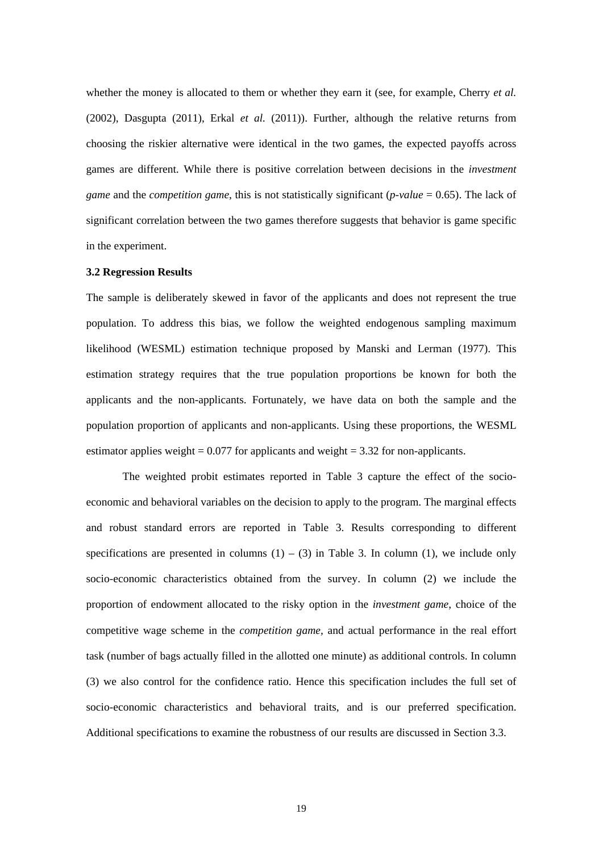whether the money is allocated to them or whether they earn it (see, for example, Cherry *et al.* (2002), Dasgupta (2011), Erkal *et al.* (2011)). Further, although the relative returns from choosing the riskier alternative were identical in the two games, the expected payoffs across games are different. While there is positive correlation between decisions in the *investment game* and the *competition game*, this is not statistically significant (*p-value* = 0.65). The lack of significant correlation between the two games therefore suggests that behavior is game specific in the experiment.

#### **3.2 Regression Results**

The sample is deliberately skewed in favor of the applicants and does not represent the true population. To address this bias, we follow the weighted endogenous sampling maximum likelihood (WESML) estimation technique proposed by Manski and Lerman (1977). This estimation strategy requires that the true population proportions be known for both the applicants and the non-applicants. Fortunately, we have data on both the sample and the population proportion of applicants and non-applicants. Using these proportions, the WESML estimator applies weight  $= 0.077$  for applicants and weight  $= 3.32$  for non-applicants.

The weighted probit estimates reported in Table 3 capture the effect of the socioeconomic and behavioral variables on the decision to apply to the program. The marginal effects and robust standard errors are reported in Table 3. Results corresponding to different specifications are presented in columns  $(1) - (3)$  in Table 3. In column  $(1)$ , we include only socio-economic characteristics obtained from the survey. In column (2) we include the proportion of endowment allocated to the risky option in the *investment game*, choice of the competitive wage scheme in the *competition game,* and actual performance in the real effort task (number of bags actually filled in the allotted one minute) as additional controls. In column (3) we also control for the confidence ratio. Hence this specification includes the full set of socio-economic characteristics and behavioral traits, and is our preferred specification. Additional specifications to examine the robustness of our results are discussed in Section 3.3.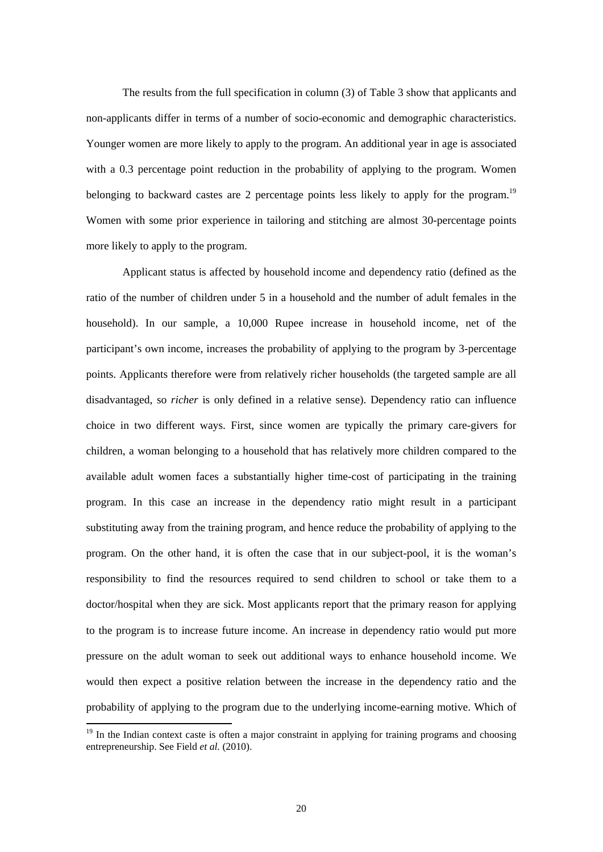The results from the full specification in column (3) of Table 3 show that applicants and non-applicants differ in terms of a number of socio-economic and demographic characteristics. Younger women are more likely to apply to the program. An additional year in age is associated with a 0.3 percentage point reduction in the probability of applying to the program. Women belonging to backward castes are 2 percentage points less likely to apply for the program.<sup>19</sup> Women with some prior experience in tailoring and stitching are almost 30-percentage points more likely to apply to the program.

Applicant status is affected by household income and dependency ratio (defined as the ratio of the number of children under 5 in a household and the number of adult females in the household). In our sample, a 10,000 Rupee increase in household income, net of the participant's own income, increases the probability of applying to the program by 3-percentage points. Applicants therefore were from relatively richer households (the targeted sample are all disadvantaged, so *richer* is only defined in a relative sense). Dependency ratio can influence choice in two different ways. First, since women are typically the primary care-givers for children, a woman belonging to a household that has relatively more children compared to the available adult women faces a substantially higher time-cost of participating in the training program. In this case an increase in the dependency ratio might result in a participant substituting away from the training program, and hence reduce the probability of applying to the program. On the other hand, it is often the case that in our subject-pool, it is the woman's responsibility to find the resources required to send children to school or take them to a doctor/hospital when they are sick. Most applicants report that the primary reason for applying to the program is to increase future income. An increase in dependency ratio would put more pressure on the adult woman to seek out additional ways to enhance household income. We would then expect a positive relation between the increase in the dependency ratio and the probability of applying to the program due to the underlying income-earning motive. Which of

 $19$  In the Indian context caste is often a major constraint in applying for training programs and choosing entrepreneurship. See Field *et al.* (2010).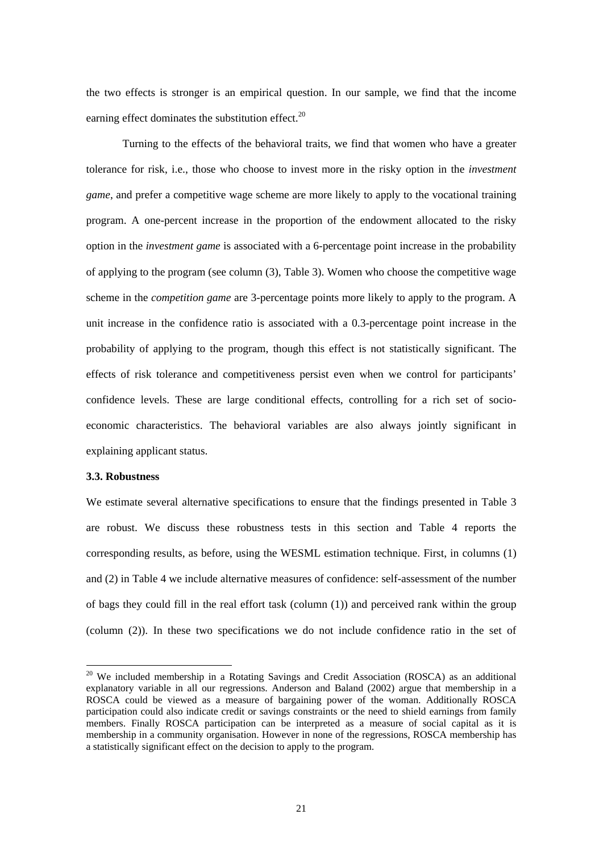the two effects is stronger is an empirical question. In our sample, we find that the income earning effect dominates the substitution effect.<sup>20</sup>

Turning to the effects of the behavioral traits, we find that women who have a greater tolerance for risk, i.e., those who choose to invest more in the risky option in the *investment game*, and prefer a competitive wage scheme are more likely to apply to the vocational training program. A one-percent increase in the proportion of the endowment allocated to the risky option in the *investment game* is associated with a 6-percentage point increase in the probability of applying to the program (see column (3), Table 3). Women who choose the competitive wage scheme in the *competition game* are 3-percentage points more likely to apply to the program. A unit increase in the confidence ratio is associated with a 0.3-percentage point increase in the probability of applying to the program, though this effect is not statistically significant. The effects of risk tolerance and competitiveness persist even when we control for participants' confidence levels. These are large conditional effects, controlling for a rich set of socioeconomic characteristics. The behavioral variables are also always jointly significant in explaining applicant status.

#### **3.3. Robustness**

We estimate several alternative specifications to ensure that the findings presented in Table 3 are robust. We discuss these robustness tests in this section and Table 4 reports the corresponding results, as before, using the WESML estimation technique. First, in columns (1) and (2) in Table 4 we include alternative measures of confidence: self-assessment of the number of bags they could fill in the real effort task (column (1)) and perceived rank within the group (column (2)). In these two specifications we do not include confidence ratio in the set of

<sup>&</sup>lt;sup>20</sup> We included membership in a Rotating Savings and Credit Association (ROSCA) as an additional explanatory variable in all our regressions. Anderson and Baland (2002) argue that membership in a ROSCA could be viewed as a measure of bargaining power of the woman. Additionally ROSCA participation could also indicate credit or savings constraints or the need to shield earnings from family members. Finally ROSCA participation can be interpreted as a measure of social capital as it is membership in a community organisation. However in none of the regressions, ROSCA membership has a statistically significant effect on the decision to apply to the program.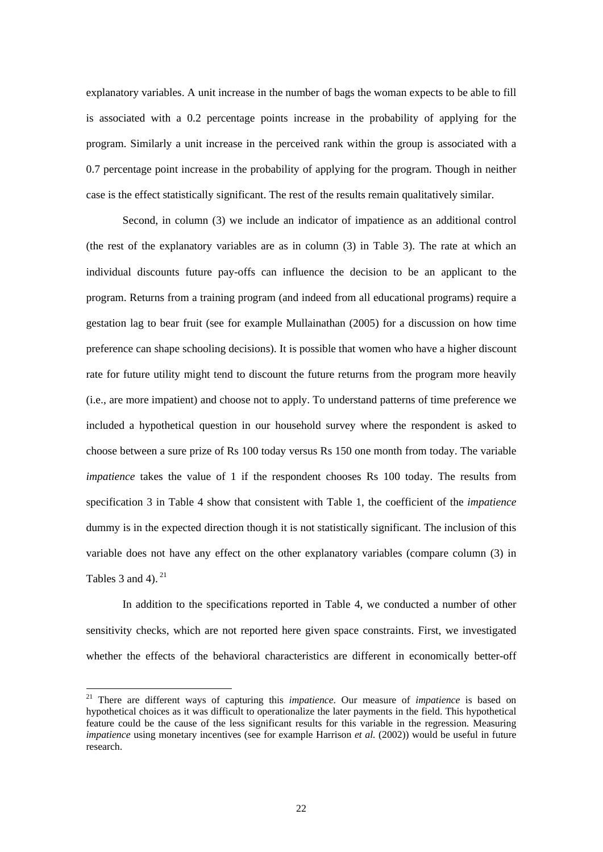explanatory variables. A unit increase in the number of bags the woman expects to be able to fill is associated with a 0.2 percentage points increase in the probability of applying for the program. Similarly a unit increase in the perceived rank within the group is associated with a 0.7 percentage point increase in the probability of applying for the program. Though in neither case is the effect statistically significant. The rest of the results remain qualitatively similar.

Second, in column (3) we include an indicator of impatience as an additional control (the rest of the explanatory variables are as in column (3) in Table 3). The rate at which an individual discounts future pay-offs can influence the decision to be an applicant to the program. Returns from a training program (and indeed from all educational programs) require a gestation lag to bear fruit (see for example Mullainathan (2005) for a discussion on how time preference can shape schooling decisions). It is possible that women who have a higher discount rate for future utility might tend to discount the future returns from the program more heavily (i.e., are more impatient) and choose not to apply. To understand patterns of time preference we included a hypothetical question in our household survey where the respondent is asked to choose between a sure prize of Rs 100 today versus Rs 150 one month from today. The variable *impatience* takes the value of 1 if the respondent chooses Rs 100 today. The results from specification 3 in Table 4 show that consistent with Table 1, the coefficient of the *impatience*  dummy is in the expected direction though it is not statistically significant. The inclusion of this variable does not have any effect on the other explanatory variables (compare column (3) in Tables 3 and 4).  $21$ 

In addition to the specifications reported in Table 4, we conducted a number of other sensitivity checks, which are not reported here given space constraints. First, we investigated whether the effects of the behavioral characteristics are different in economically better-off

<sup>21</sup> There are different ways of capturing this *impatience*. Our measure of *impatience* is based on hypothetical choices as it was difficult to operationalize the later payments in the field. This hypothetical feature could be the cause of the less significant results for this variable in the regression. Measuring *impatience* using monetary incentives (see for example Harrison *et al.* (2002)) would be useful in future research.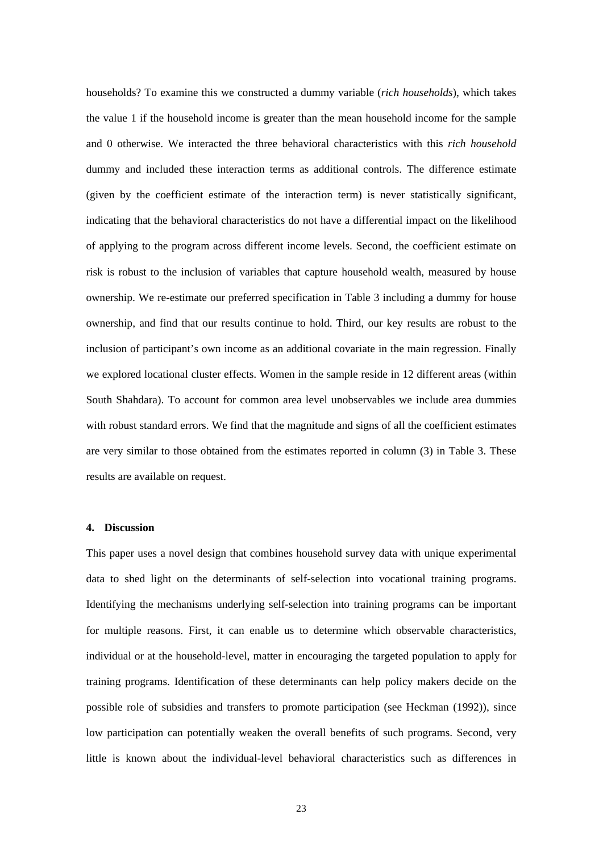households? To examine this we constructed a dummy variable (*rich households*), which takes the value 1 if the household income is greater than the mean household income for the sample and 0 otherwise. We interacted the three behavioral characteristics with this *rich household* dummy and included these interaction terms as additional controls. The difference estimate (given by the coefficient estimate of the interaction term) is never statistically significant, indicating that the behavioral characteristics do not have a differential impact on the likelihood of applying to the program across different income levels. Second, the coefficient estimate on risk is robust to the inclusion of variables that capture household wealth, measured by house ownership. We re-estimate our preferred specification in Table 3 including a dummy for house ownership, and find that our results continue to hold. Third, our key results are robust to the inclusion of participant's own income as an additional covariate in the main regression. Finally we explored locational cluster effects. Women in the sample reside in 12 different areas (within South Shahdara). To account for common area level unobservables we include area dummies with robust standard errors. We find that the magnitude and signs of all the coefficient estimates are very similar to those obtained from the estimates reported in column (3) in Table 3. These results are available on request.

#### **4. Discussion**

This paper uses a novel design that combines household survey data with unique experimental data to shed light on the determinants of self-selection into vocational training programs. Identifying the mechanisms underlying self-selection into training programs can be important for multiple reasons. First, it can enable us to determine which observable characteristics, individual or at the household-level, matter in encouraging the targeted population to apply for training programs. Identification of these determinants can help policy makers decide on the possible role of subsidies and transfers to promote participation (see Heckman (1992)), since low participation can potentially weaken the overall benefits of such programs. Second, very little is known about the individual-level behavioral characteristics such as differences in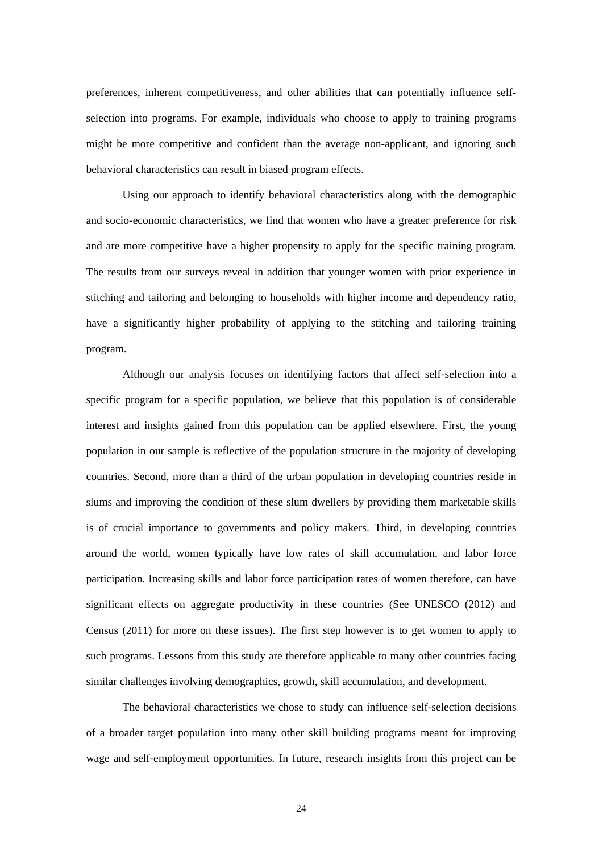preferences, inherent competitiveness, and other abilities that can potentially influence selfselection into programs. For example, individuals who choose to apply to training programs might be more competitive and confident than the average non-applicant, and ignoring such behavioral characteristics can result in biased program effects.

Using our approach to identify behavioral characteristics along with the demographic and socio-economic characteristics, we find that women who have a greater preference for risk and are more competitive have a higher propensity to apply for the specific training program. The results from our surveys reveal in addition that younger women with prior experience in stitching and tailoring and belonging to households with higher income and dependency ratio, have a significantly higher probability of applying to the stitching and tailoring training program.

Although our analysis focuses on identifying factors that affect self-selection into a specific program for a specific population, we believe that this population is of considerable interest and insights gained from this population can be applied elsewhere. First, the young population in our sample is reflective of the population structure in the majority of developing countries. Second, more than a third of the urban population in developing countries reside in slums and improving the condition of these slum dwellers by providing them marketable skills is of crucial importance to governments and policy makers. Third, in developing countries around the world, women typically have low rates of skill accumulation, and labor force participation. Increasing skills and labor force participation rates of women therefore, can have significant effects on aggregate productivity in these countries (See UNESCO (2012) and Census (2011) for more on these issues). The first step however is to get women to apply to such programs. Lessons from this study are therefore applicable to many other countries facing similar challenges involving demographics, growth, skill accumulation, and development.

The behavioral characteristics we chose to study can influence self-selection decisions of a broader target population into many other skill building programs meant for improving wage and self-employment opportunities. In future, research insights from this project can be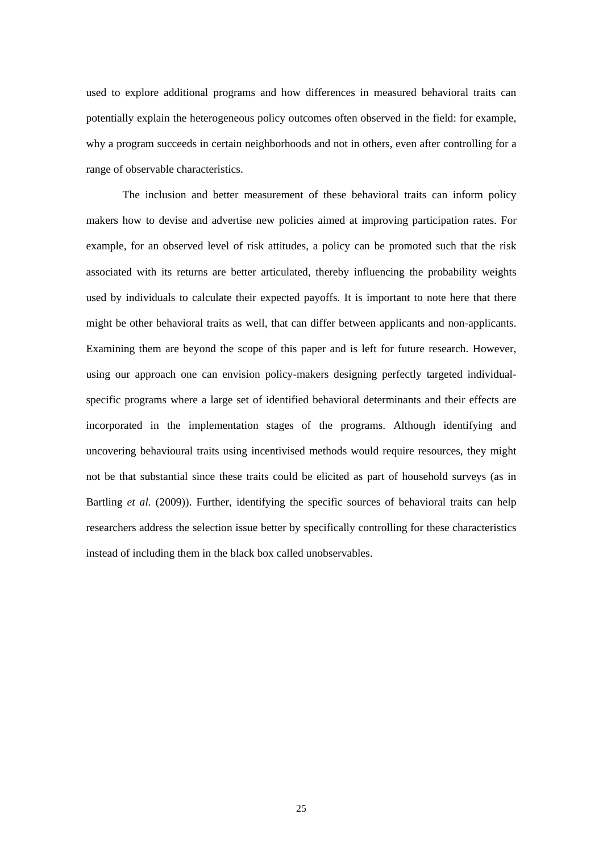used to explore additional programs and how differences in measured behavioral traits can potentially explain the heterogeneous policy outcomes often observed in the field: for example, why a program succeeds in certain neighborhoods and not in others, even after controlling for a range of observable characteristics.

The inclusion and better measurement of these behavioral traits can inform policy makers how to devise and advertise new policies aimed at improving participation rates. For example, for an observed level of risk attitudes, a policy can be promoted such that the risk associated with its returns are better articulated, thereby influencing the probability weights used by individuals to calculate their expected payoffs. It is important to note here that there might be other behavioral traits as well, that can differ between applicants and non-applicants. Examining them are beyond the scope of this paper and is left for future research. However, using our approach one can envision policy-makers designing perfectly targeted individualspecific programs where a large set of identified behavioral determinants and their effects are incorporated in the implementation stages of the programs. Although identifying and uncovering behavioural traits using incentivised methods would require resources, they might not be that substantial since these traits could be elicited as part of household surveys (as in Bartling *et al.* (2009)). Further, identifying the specific sources of behavioral traits can help researchers address the selection issue better by specifically controlling for these characteristics instead of including them in the black box called unobservables.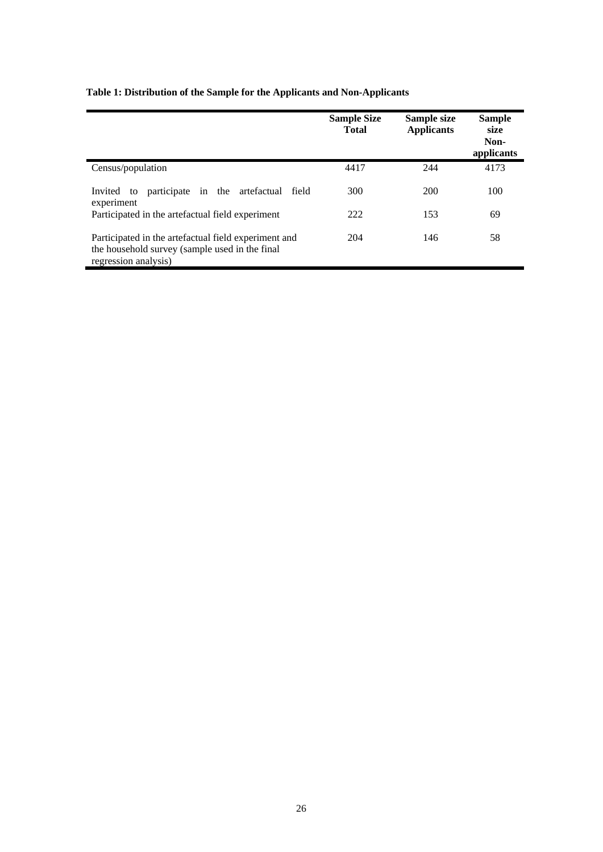|                                                                                                                                | <b>Sample Size</b><br><b>Total</b> | Sample size<br><b>Applicants</b> | <b>Sample</b><br>size<br>Non-<br>applicants |
|--------------------------------------------------------------------------------------------------------------------------------|------------------------------------|----------------------------------|---------------------------------------------|
| Census/population                                                                                                              | 4417                               | 244                              | 4173                                        |
| participate in the artefactual<br>Invited<br>field<br>to<br>experiment                                                         | 300                                | 200                              | 100                                         |
| Participated in the artefactual field experiment                                                                               | 222                                | 153                              | 69                                          |
| Participated in the artefactual field experiment and<br>the household survey (sample used in the final<br>regression analysis) | 204                                | 146                              | 58                                          |

## **Table 1: Distribution of the Sample for the Applicants and Non-Applicants**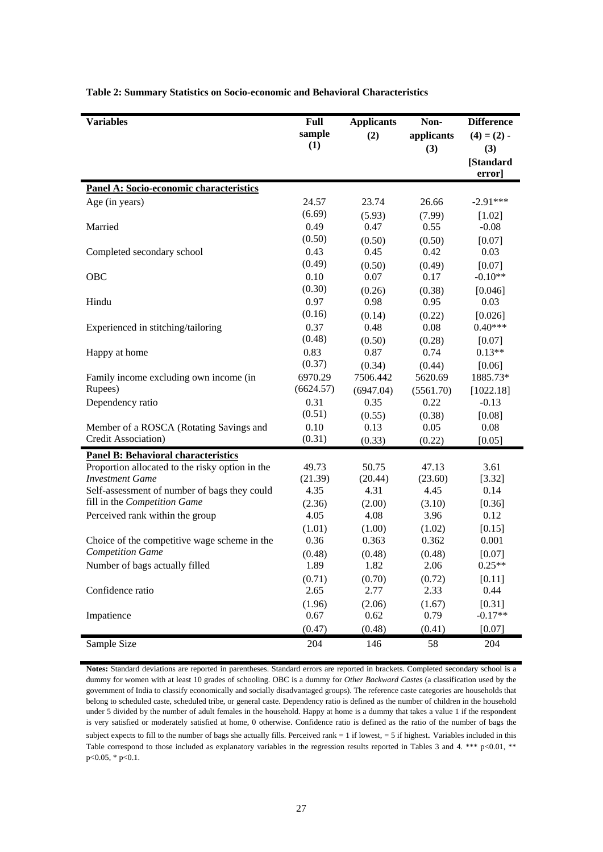| <b>Variables</b>                                                        | Full<br>sample | <b>Applicants</b> | Non-              | <b>Difference</b>   |
|-------------------------------------------------------------------------|----------------|-------------------|-------------------|---------------------|
|                                                                         | (1)            | (2)               | applicants<br>(3) | $(4) = (2)$<br>(3)  |
|                                                                         |                |                   |                   | [Standard<br>error] |
| Panel A: Socio-economic characteristics                                 |                |                   |                   |                     |
| Age (in years)                                                          | 24.57          | 23.74             | 26.66             | $-2.91***$          |
|                                                                         | (6.69)         | (5.93)            | (7.99)            | [1.02]              |
| Married                                                                 | 0.49           | 0.47              | 0.55              | $-0.08$             |
|                                                                         | (0.50)         | (0.50)            | (0.50)            | [0.07]              |
| Completed secondary school                                              | 0.43           | 0.45              | 0.42              | 0.03                |
|                                                                         | (0.49)         | (0.50)            | (0.49)            | [0.07]              |
| OBC                                                                     | 0.10           | 0.07              | 0.17              | $-0.10**$           |
|                                                                         | (0.30)         | (0.26)            | (0.38)            | [0.046]             |
| Hindu                                                                   | 0.97           | 0.98              | 0.95              | 0.03                |
|                                                                         | (0.16)         | (0.14)            | (0.22)            | [0.026]             |
| Experienced in stitching/tailoring                                      | 0.37           | 0.48              | 0.08              | $0.40***$           |
|                                                                         | (0.48)         | (0.50)            | (0.28)            | [0.07]              |
| Happy at home                                                           | 0.83           | 0.87              | 0.74              | $0.13**$            |
|                                                                         | (0.37)         | (0.34)            | (0.44)            | [0.06]              |
| Family income excluding own income (in                                  | 6970.29        | 7506.442          | 5620.69           | 1885.73*            |
| Rupees)                                                                 | (6624.57)      | (6947.04)         | (5561.70)         | [1022.18]           |
| Dependency ratio                                                        | 0.31           | 0.35              | 0.22              | $-0.13$             |
|                                                                         | (0.51)         | (0.55)            | (0.38)            | [0.08]              |
| Member of a ROSCA (Rotating Savings and                                 | 0.10           | 0.13              | 0.05              | 0.08                |
| Credit Association)                                                     | (0.31)         | (0.33)            | (0.22)            | [0.05]              |
| <b>Panel B: Behavioral characteristics</b>                              |                |                   |                   |                     |
| Proportion allocated to the risky option in the                         | 49.73          | 50.75             | 47.13             | 3.61                |
| <b>Investment Game</b>                                                  | (21.39)        | (20.44)           | (23.60)           | [3.32]              |
| Self-assessment of number of bags they could                            | 4.35           | 4.31              | 4.45              | 0.14                |
| fill in the Competition Game                                            | (2.36)         | (2.00)            | (3.10)            | [0.36]              |
| Perceived rank within the group                                         | 4.05           | 4.08              | 3.96              | 0.12                |
|                                                                         | (1.01)         | (1.00)            | (1.02)            | [0.15]              |
| Choice of the competitive wage scheme in the<br><b>Competition Game</b> | 0.36           | 0.363             | 0.362             | 0.001               |
|                                                                         | (0.48)         | (0.48)            | (0.48)            | [0.07]              |
| Number of bags actually filled                                          | 1.89           | 1.82              | 2.06              | $0.25**$            |
|                                                                         | (0.71)         | (0.70)            | (0.72)            | [0.11]              |
| Confidence ratio                                                        | 2.65           | 2.77              | 2.33              | 0.44                |
|                                                                         | (1.96)<br>0.67 | (2.06)            | (1.67)            | [0.31]<br>$-0.17**$ |
| Impatience                                                              |                | 0.62              | 0.79              |                     |
|                                                                         | (0.47)         | (0.48)            | (0.41)            | [0.07]              |
| Sample Size                                                             | 204            | 146               | 58                | 204                 |

**Table 2: Summary Statistics on Socio-economic and Behavioral Characteristics** 

**Notes:** Standard deviations are reported in parentheses. Standard errors are reported in brackets. Completed secondary school is a dummy for women with at least 10 grades of schooling. OBC is a dummy for *Other Backward Castes* (a classification used by the government of India to classify economically and socially disadvantaged groups). The reference caste categories are households that belong to scheduled caste, scheduled tribe, or general caste. Dependency ratio is defined as the number of children in the household under 5 divided by the number of adult females in the household. Happy at home is a dummy that takes a value 1 if the respondent is very satisfied or moderately satisfied at home, 0 otherwise. Confidence ratio is defined as the ratio of the number of bags the subject expects to fill to the number of bags she actually fills. Perceived rank = 1 if lowest, = 5 if highest. Variables included in this Table correspond to those included as explanatory variables in the regression results reported in Tables 3 and 4. \*\*\* p<0.01, \*\* p<0.05, \* p<0.1.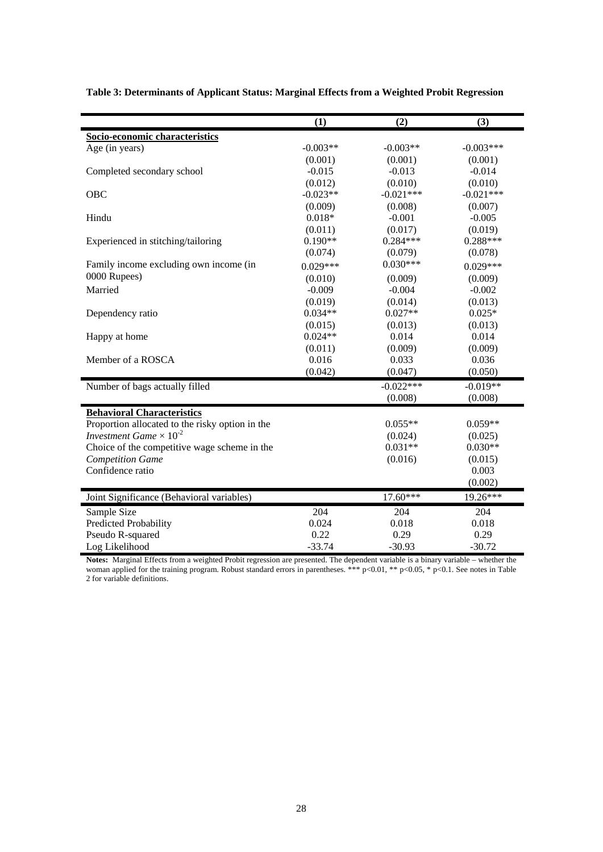|                                                 | (1)        | (2)         | (3)         |
|-------------------------------------------------|------------|-------------|-------------|
| Socio-economic characteristics                  |            |             |             |
| Age (in years)                                  | $-0.003**$ | $-0.003**$  | $-0.003***$ |
|                                                 | (0.001)    | (0.001)     | (0.001)     |
| Completed secondary school                      | $-0.015$   | $-0.013$    | $-0.014$    |
|                                                 | (0.012)    | (0.010)     | (0.010)     |
| OBC                                             | $-0.023**$ | $-0.021***$ | $-0.021***$ |
|                                                 | (0.009)    | (0.008)     | (0.007)     |
| Hindu                                           | $0.018*$   | $-0.001$    | $-0.005$    |
|                                                 | (0.011)    | (0.017)     | (0.019)     |
| Experienced in stitching/tailoring              | $0.190**$  | $0.284***$  | $0.288***$  |
|                                                 | (0.074)    | (0.079)     | (0.078)     |
| Family income excluding own income (in          | $0.029***$ | $0.030***$  | $0.029***$  |
| 0000 Rupees)                                    | (0.010)    | (0.009)     | (0.009)     |
| Married                                         | $-0.009$   | $-0.004$    | $-0.002$    |
|                                                 | (0.019)    | (0.014)     | (0.013)     |
| Dependency ratio                                | $0.034**$  | $0.027**$   | $0.025*$    |
|                                                 | (0.015)    | (0.013)     | (0.013)     |
| Happy at home                                   | $0.024**$  | 0.014       | 0.014       |
|                                                 | (0.011)    | (0.009)     | (0.009)     |
| Member of a ROSCA                               | 0.016      | 0.033       | 0.036       |
|                                                 | (0.042)    | (0.047)     | (0.050)     |
| Number of bags actually filled                  |            | $-0.022***$ | $-0.019**$  |
|                                                 |            | (0.008)     | (0.008)     |
| <b>Behavioral Characteristics</b>               |            |             |             |
| Proportion allocated to the risky option in the |            | $0.055**$   | $0.059**$   |
| Investment Game $\times 10^{-2}$                |            | (0.024)     | (0.025)     |
| Choice of the competitive wage scheme in the    |            | $0.031**$   | $0.030**$   |
| <b>Competition Game</b>                         |            | (0.016)     | (0.015)     |
| Confidence ratio                                |            |             | 0.003       |
|                                                 |            |             | (0.002)     |
| Joint Significance (Behavioral variables)       |            | 17.60***    | 19.26***    |
| Sample Size                                     | 204        | 204         | 204         |
| Predicted Probability                           | 0.024      | 0.018       | 0.018       |
| Pseudo R-squared                                | 0.22       | 0.29        | 0.29        |
| Log Likelihood                                  | $-33.74$   | $-30.93$    | $-30.72$    |

**Table 3: Determinants of Applicant Status: Marginal Effects from a Weighted Probit Regression** 

**Notes:** Marginal Effects from a weighted Probit regression are presented. The dependent variable is a binary variable – whether the woman applied for the training program. Robust standard errors in parentheses. \*\*\* p<0.01, \*\* p<0.05, \* p<0.1. See notes in Table 2 for variable definitions.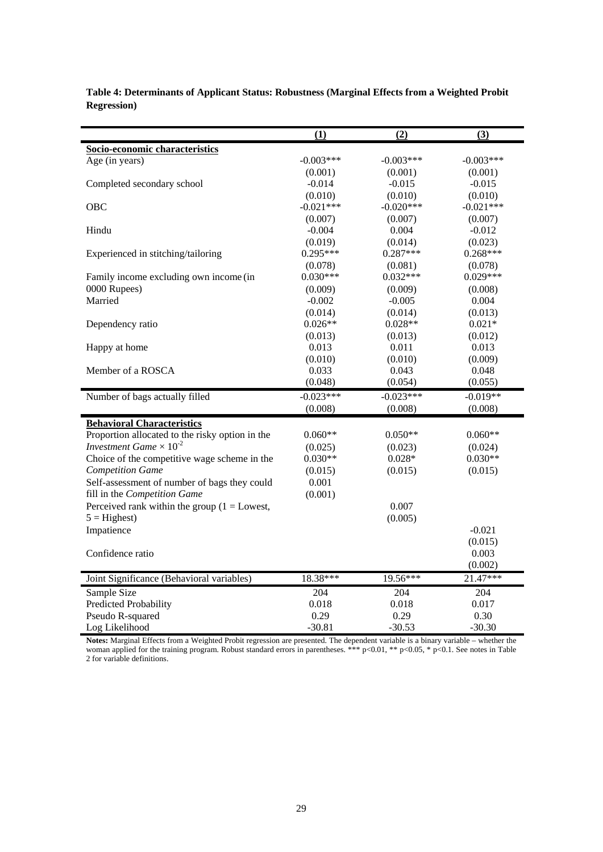|                                                 | (1)         | (2)         | (3)         |
|-------------------------------------------------|-------------|-------------|-------------|
| Socio-economic characteristics                  |             |             |             |
| Age (in years)                                  | $-0.003***$ | $-0.003***$ | $-0.003***$ |
|                                                 | (0.001)     | (0.001)     | (0.001)     |
| Completed secondary school                      | $-0.014$    | $-0.015$    | $-0.015$    |
|                                                 | (0.010)     | (0.010)     | (0.010)     |
| <b>OBC</b>                                      | $-0.021***$ | $-0.020***$ | $-0.021***$ |
|                                                 | (0.007)     | (0.007)     | (0.007)     |
| Hindu                                           | $-0.004$    | 0.004       | $-0.012$    |
|                                                 | (0.019)     | (0.014)     | (0.023)     |
| Experienced in stitching/tailoring              | $0.295***$  | $0.287***$  | $0.268***$  |
|                                                 | (0.078)     | (0.081)     | (0.078)     |
| Family income excluding own income (in          | $0.030***$  | $0.032***$  | $0.029***$  |
| 0000 Rupees)                                    | (0.009)     | (0.009)     | (0.008)     |
| Married                                         | $-0.002$    | $-0.005$    | 0.004       |
|                                                 | (0.014)     | (0.014)     | (0.013)     |
| Dependency ratio                                | $0.026**$   | $0.028**$   | $0.021*$    |
|                                                 | (0.013)     | (0.013)     | (0.012)     |
| Happy at home                                   | 0.013       | 0.011       | 0.013       |
|                                                 | (0.010)     | (0.010)     | (0.009)     |
| Member of a ROSCA                               | 0.033       | 0.043       | 0.048       |
|                                                 | (0.048)     | (0.054)     | (0.055)     |
| Number of bags actually filled                  | $-0.023***$ | $-0.023***$ | $-0.019**$  |
|                                                 | (0.008)     | (0.008)     | (0.008)     |
| <b>Behavioral Characteristics</b>               |             |             |             |
| Proportion allocated to the risky option in the | $0.060**$   | $0.050**$   | $0.060**$   |
| Investment Game $\times 10^{-2}$                | (0.025)     | (0.023)     | (0.024)     |
| Choice of the competitive wage scheme in the    | $0.030**$   | $0.028*$    | $0.030**$   |
| <b>Competition Game</b>                         | (0.015)     | (0.015)     | (0.015)     |
| Self-assessment of number of bags they could    | 0.001       |             |             |
| fill in the Competition Game                    | (0.001)     |             |             |
| Perceived rank within the group $(1 =$ Lowest,  |             | 0.007       |             |
| $5 =$ Highest)                                  |             | (0.005)     |             |
| Impatience                                      |             |             | $-0.021$    |
|                                                 |             |             | (0.015)     |
| Confidence ratio                                |             |             | 0.003       |
|                                                 |             |             | (0.002)     |
| Joint Significance (Behavioral variables)       | 18.38***    | 19.56***    | 21.47***    |
| Sample Size                                     | 204         | 204         | 204         |
| Predicted Probability                           | 0.018       | 0.018       | 0.017       |
| Pseudo R-squared                                | 0.29        | 0.29        | 0.30        |
| Log Likelihood                                  | $-30.81$    | $-30.53$    | $-30.30$    |

**Table 4: Determinants of Applicant Status: Robustness (Marginal Effects from a Weighted Probit Regression)** 

**Notes:** Marginal Effects from a Weighted Probit regression are presented. The dependent variable is a binary variable – whether the woman applied for the training program. Robust standard errors in parentheses. \*\*\* p<0.01, \*\* p<0.05, \* p<0.1. See notes in Table 2 for variable definitions.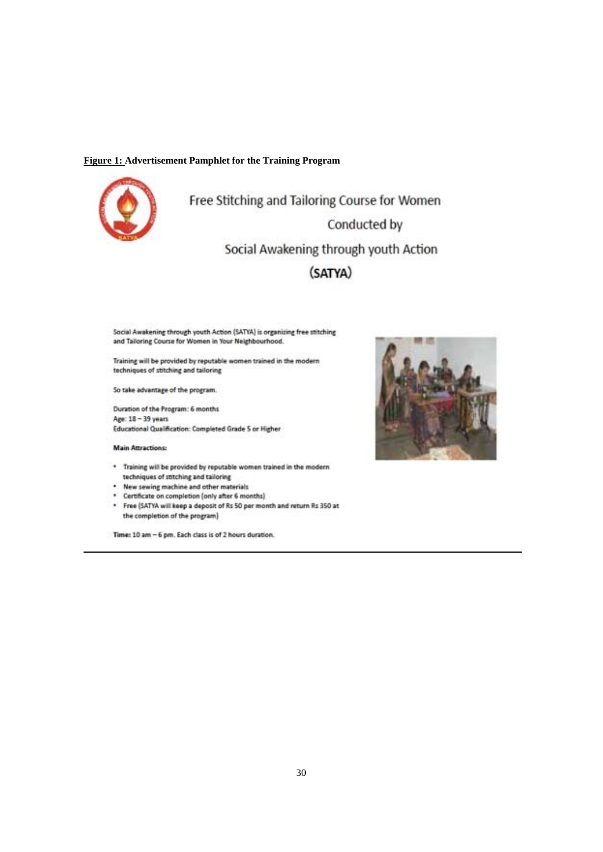#### **Figure 1: Advertisement Pamphlet for the Training Program**



Free Stitching and Tailoring Course for Women Conducted by Social Awakening through youth Action (SATYA)

Social Awakening through youth Action (SATYA) is organizing free stitching and Tailoring Course for Women in Your Neighbourhood.

Training will be provided by reputable women trained in the modern techniques of stitching and tailoring

So take advantage of the program.

Duration of the Program: 6 months Age: 18 - 39 years Educational Qualification: Completed Grade 5 or Higher

#### **Main Attractions:**

- . Training will be provided by reputable women trained in the modern techniques of stitching and tailoring
- . New sewing machine and other materials
- \* Certificate on completion (only after 6 months)
- \* Free (SATYA will keep a deposit of Rs 50 per month and return Rs 350 at the completion of the program)

Time: 10 am - 6 pm. Each class is of 2 hours duration.

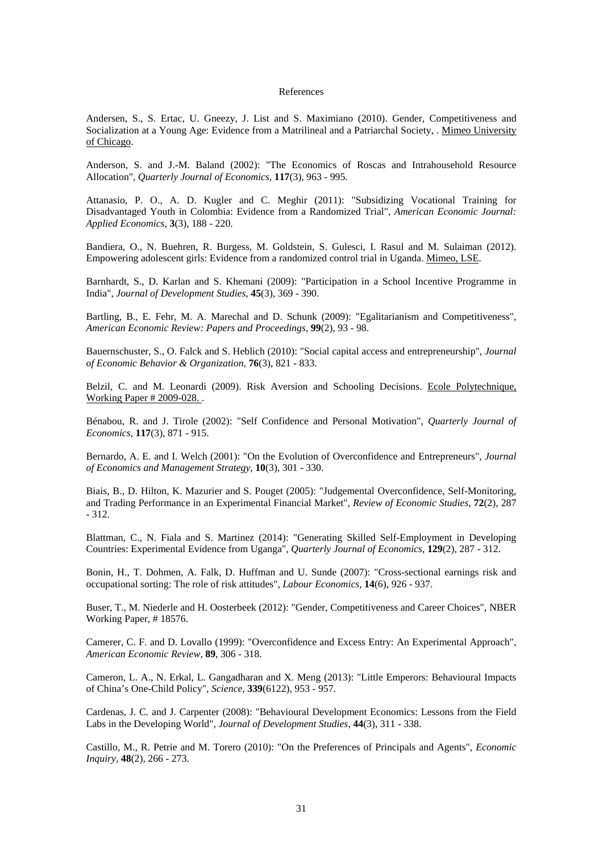#### References

Andersen, S., S. Ertac, U. Gneezy, J. List and S. Maximiano (2010). Gender, Competitiveness and Socialization at a Young Age: Evidence from a Matrilineal and a Patriarchal Society, . Mimeo University of Chicago.

Anderson, S. and J.-M. Baland (2002): "The Economics of Roscas and Intrahousehold Resource Allocation", *Quarterly Journal of Economics*, **117**(3), 963 - 995.

Attanasio, P. O., A. D. Kugler and C. Meghir (2011): "Subsidizing Vocational Training for Disadvantaged Youth in Colombia: Evidence from a Randomized Trial", *American Economic Journal: Applied Economics*, **3**(3), 188 - 220.

Bandiera, O., N. Buehren, R. Burgess, M. Goldstein, S. Gulesci, I. Rasul and M. Sulaiman (2012). Empowering adolescent girls: Evidence from a randomized control trial in Uganda. Mimeo, LSE.

Barnhardt, S., D. Karlan and S. Khemani (2009): "Participation in a School Incentive Programme in India", *Journal of Development Studies*, **45**(3), 369 - 390.

Bartling, B., E. Fehr, M. A. Marechal and D. Schunk (2009): "Egalitarianism and Competitiveness", *American Economic Review: Papers and Proceedings*, **99**(2), 93 - 98.

Bauernschuster, S., O. Falck and S. Heblich (2010): "Social capital access and entrepreneurship", *Journal of Economic Behavior & Organization*, **76**(3), 821 - 833.

Belzil, C. and M. Leonardi (2009). Risk Aversion and Schooling Decisions. Ecole Polytechnique, Working Paper # 2009-028. .

Bénabou, R. and J. Tirole (2002): "Self Confidence and Personal Motivation", *Quarterly Journal of Economics*, **117**(3), 871 - 915.

Bernardo, A. E. and I. Welch (2001): "On the Evolution of Overconfidence and Entrepreneurs", *Journal of Economics and Management Strategy*, **10**(3), 301 - 330.

Biais, B., D. Hilton, K. Mazurier and S. Pouget (2005): "Judgemental Overconfidence, Self-Monitoring, and Trading Performance in an Experimental Financial Market", *Review of Economic Studies*, **72**(2), 287 - 312.

Blattman, C., N. Fiala and S. Martinez (2014): "Generating Skilled Self-Employment in Developing Countries: Experimental Evidence from Uganga", *Quarterly Journal of Economics*, **129**(2), 287 - 312.

Bonin, H., T. Dohmen, A. Falk, D. Huffman and U. Sunde (2007): "Cross-sectional earnings risk and occupational sorting: The role of risk attitudes", *Labour Economics*, **14**(6), 926 - 937.

Buser, T., M. Niederle and H. Oosterbeek (2012): "Gender, Competitiveness and Career Choices", NBER Working Paper, # 18576.

Camerer, C. F. and D. Lovallo (1999): "Overconfidence and Excess Entry: An Experimental Approach", *American Economic Review*, **89**, 306 - 318.

Cameron, L. A., N. Erkal, L. Gangadharan and X. Meng (2013): "Little Emperors: Behavioural Impacts of China's One-Child Policy", *Science*, **339**(6122), 953 - 957.

Cardenas, J. C. and J. Carpenter (2008): "Behavioural Development Economics: Lessons from the Field Labs in the Developing World", *Journal of Development Studies*, **44**(3), 311 - 338.

Castillo, M., R. Petrie and M. Torero (2010): "On the Preferences of Principals and Agents", *Economic Inquiry*, **48**(2), 266 - 273.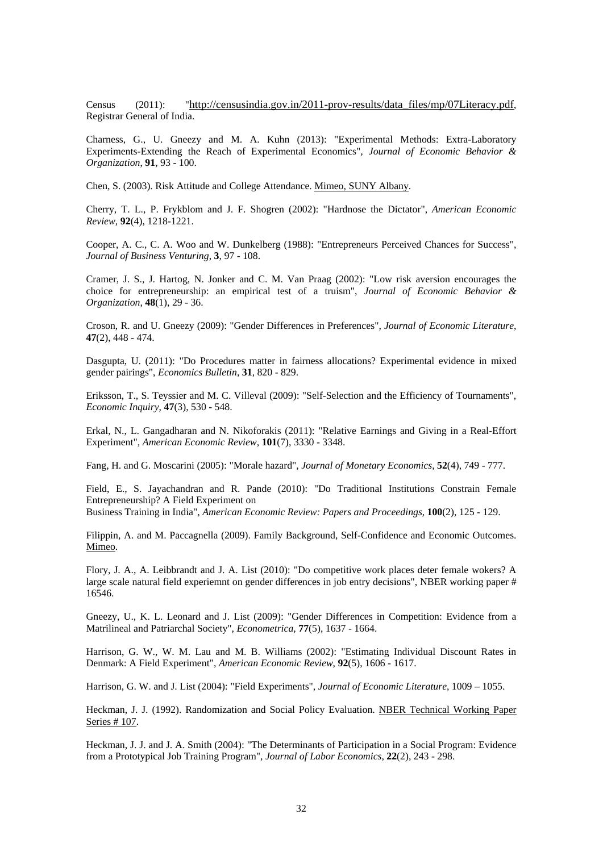Census (2011): "http://censusindia.gov.in/2011-prov-results/data\_files/mp/07Literacy.pdf, Registrar General of India.

Charness, G., U. Gneezy and M. A. Kuhn (2013): "Experimental Methods: Extra-Laboratory Experiments-Extending the Reach of Experimental Economics", *Journal of Economic Behavior & Organization*, **91**, 93 - 100.

Chen, S. (2003). Risk Attitude and College Attendance. Mimeo, SUNY Albany.

Cherry, T. L., P. Frykblom and J. F. Shogren (2002): "Hardnose the Dictator", *American Economic Review*, **92**(4), 1218-1221.

Cooper, A. C., C. A. Woo and W. Dunkelberg (1988): "Entrepreneurs Perceived Chances for Success", *Journal of Business Venturing*, **3**, 97 - 108.

Cramer, J. S., J. Hartog, N. Jonker and C. M. Van Praag (2002): "Low risk aversion encourages the choice for entrepreneurship: an empirical test of a truism", *Journal of Economic Behavior & Organization*, **48**(1), 29 - 36.

Croson, R. and U. Gneezy (2009): "Gender Differences in Preferences", *Journal of Economic Literature*, **47**(2), 448 - 474.

Dasgupta, U. (2011): "Do Procedures matter in fairness allocations? Experimental evidence in mixed gender pairings", *Economics Bulletin*, **31**, 820 - 829.

Eriksson, T., S. Teyssier and M. C. Villeval (2009): "Self-Selection and the Efficiency of Tournaments", *Economic Inquiry*, **47**(3), 530 - 548.

Erkal, N., L. Gangadharan and N. Nikoforakis (2011): "Relative Earnings and Giving in a Real-Effort Experiment", *American Economic Review*, **101**(7), 3330 - 3348.

Fang, H. and G. Moscarini (2005): "Morale hazard", *Journal of Monetary Economics*, **52**(4), 749 - 777.

Field, E., S. Jayachandran and R. Pande (2010): "Do Traditional Institutions Constrain Female Entrepreneurship? A Field Experiment on

Business Training in India", *American Economic Review: Papers and Proceedings*, **100**(2), 125 - 129.

Filippin, A. and M. Paccagnella (2009). Family Background, Self-Confidence and Economic Outcomes. Mimeo.

Flory, J. A., A. Leibbrandt and J. A. List (2010): "Do competitive work places deter female wokers? A large scale natural field experiemnt on gender differences in job entry decisions", NBER working paper # 16546.

Gneezy, U., K. L. Leonard and J. List (2009): "Gender Differences in Competition: Evidence from a Matrilineal and Patriarchal Society", *Econometrica*, **77**(5), 1637 - 1664.

Harrison, G. W., W. M. Lau and M. B. Williams (2002): "Estimating Individual Discount Rates in Denmark: A Field Experiment", *American Economic Review*, **92**(5), 1606 - 1617.

Harrison, G. W. and J. List (2004): "Field Experiments", *Journal of Economic Literature*, 1009 – 1055.

Heckman, J. J. (1992). Randomization and Social Policy Evaluation. NBER Technical Working Paper Series # 107.

Heckman, J. J. and J. A. Smith (2004): "The Determinants of Participation in a Social Program: Evidence from a Prototypical Job Training Program", *Journal of Labor Economics*, **22**(2), 243 - 298.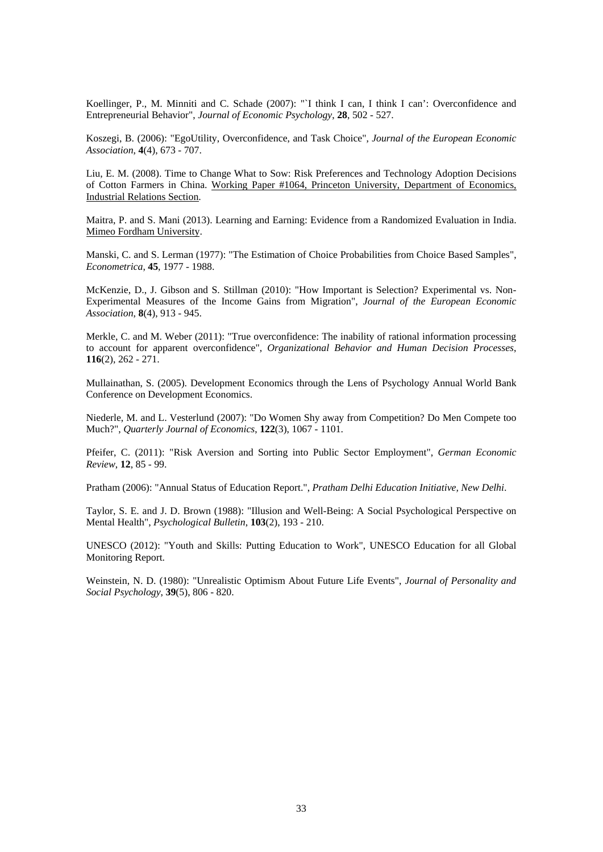Koellinger, P., M. Minniti and C. Schade (2007): "'I think I can, I think I can': Overconfidence and Entrepreneurial Behavior", *Journal of Economic Psychology*, **28**, 502 - 527.

Koszegi, B. (2006): "EgoUtility, Overconfidence, and Task Choice", *Journal of the European Economic Association*, **4**(4), 673 - 707.

Liu, E. M. (2008). Time to Change What to Sow: Risk Preferences and Technology Adoption Decisions of Cotton Farmers in China. Working Paper #1064, Princeton University, Department of Economics, Industrial Relations Section.

Maitra, P. and S. Mani (2013). Learning and Earning: Evidence from a Randomized Evaluation in India. Mimeo Fordham University.

Manski, C. and S. Lerman (1977): "The Estimation of Choice Probabilities from Choice Based Samples", *Econometrica*, **45**, 1977 - 1988.

McKenzie, D., J. Gibson and S. Stillman (2010): "How Important is Selection? Experimental vs. Non-Experimental Measures of the Income Gains from Migration", *Journal of the European Economic Association*, **8**(4), 913 - 945.

Merkle, C. and M. Weber (2011): "True overconfidence: The inability of rational information processing to account for apparent overconfidence", *Organizational Behavior and Human Decision Processes*, **116**(2), 262 - 271.

Mullainathan, S. (2005). Development Economics through the Lens of Psychology Annual World Bank Conference on Development Economics.

Niederle, M. and L. Vesterlund (2007): "Do Women Shy away from Competition? Do Men Compete too Much?", *Quarterly Journal of Economics*, **122**(3), 1067 - 1101.

Pfeifer, C. (2011): "Risk Aversion and Sorting into Public Sector Employment", *German Economic Review*, **12**, 85 - 99.

Pratham (2006): "Annual Status of Education Report.", *Pratham Delhi Education Initiative, New Delhi*.

Taylor, S. E. and J. D. Brown (1988): "Illusion and Well-Being: A Social Psychological Perspective on Mental Health", *Psychological Bulletin*, **103**(2), 193 - 210.

UNESCO (2012): "Youth and Skills: Putting Education to Work", UNESCO Education for all Global Monitoring Report.

Weinstein, N. D. (1980): "Unrealistic Optimism About Future Life Events", *Journal of Personality and Social Psychology*, **39**(5), 806 - 820.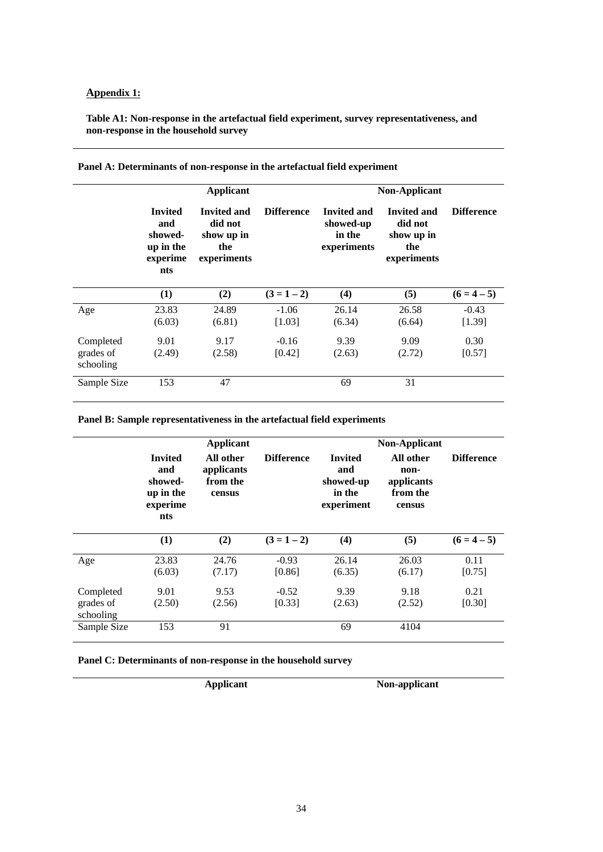#### **Appendix 1:**

**Table A1: Non-response in the artefactual field experiment, survey representativeness, and non-response in the household survey** 

|                                     |                                                                  | <b>Applicant</b>                                                  | <b>Non-Applicant</b> |                                                          |                                                            |                   |
|-------------------------------------|------------------------------------------------------------------|-------------------------------------------------------------------|----------------------|----------------------------------------------------------|------------------------------------------------------------|-------------------|
|                                     | <b>Invited</b><br>and<br>showed-<br>up in the<br>experime<br>nts | <b>Invited and</b><br>did not<br>show up in<br>the<br>experiments | <b>Difference</b>    | <b>Invited and</b><br>showed-up<br>in the<br>experiments | Invited and<br>did not<br>show up in<br>the<br>experiments | <b>Difference</b> |
|                                     | (1)                                                              | (2)                                                               | $(3 = 1 - 2)$        | (4)                                                      | (5)                                                        | $(6 = 4 - 5)$     |
| Age                                 | 23.83<br>(6.03)                                                  | 24.89<br>(6.81)                                                   | $-1.06$<br>[1.03]    | 26.14<br>(6.34)                                          | 26.58<br>(6.64)                                            | $-0.43$<br>[1.39] |
| Completed<br>grades of<br>schooling | 9.01<br>(2.49)                                                   | 9.17<br>(2.58)                                                    | $-0.16$<br>[0.42]    | 9.39<br>(2.63)                                           | 9.09<br>(2.72)                                             | 0.30<br>[0.57]    |
| Sample Size                         | 153                                                              | 47                                                                |                      | 69                                                       | 31                                                         |                   |

#### **Panel A: Determinants of non-response in the artefactual field experiment**

#### **Panel B: Sample representativeness in the artefactual field experiments**

|                                     |                                                                  | <b>Applicant</b>                              |                   |                                                     | <b>Non-Applicant</b>                                  |                   |
|-------------------------------------|------------------------------------------------------------------|-----------------------------------------------|-------------------|-----------------------------------------------------|-------------------------------------------------------|-------------------|
|                                     | <b>Invited</b><br>and<br>showed-<br>up in the<br>experime<br>nts | All other<br>applicants<br>from the<br>census | <b>Difference</b> | Invited<br>and<br>showed-up<br>in the<br>experiment | All other<br>non-<br>applicants<br>from the<br>census | <b>Difference</b> |
|                                     | (1)                                                              | (2)                                           | $(3 = 1 - 2)$     | (4)                                                 | (5)                                                   | $(6 = 4 - 5)$     |
| Age                                 | 23.83<br>(6.03)                                                  | 24.76<br>(7.17)                               | $-0.93$<br>[0.86] | 26.14<br>(6.35)                                     | 26.03<br>(6.17)                                       | 0.11<br>[0.75]    |
| Completed<br>grades of<br>schooling | 9.01<br>(2.50)                                                   | 9.53<br>(2.56)                                | $-0.52$<br>[0.33] | 9.39<br>(2.63)                                      | 9.18<br>(2.52)                                        | 0.21<br>[0.30]    |
| Sample Size                         | 153                                                              | 91                                            |                   | 69                                                  | 4104                                                  |                   |

#### **Panel C: Determinants of non-response in the household survey**

**Applicant Non-applicant**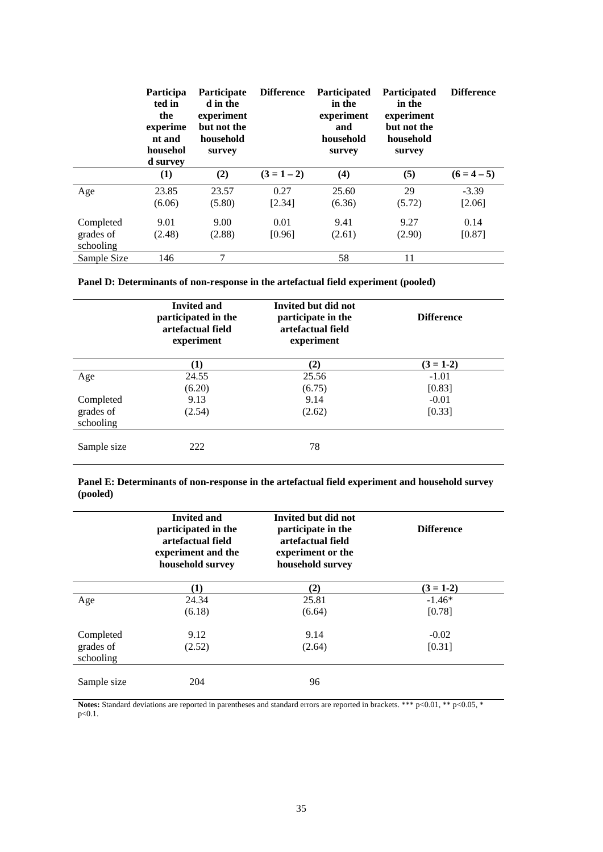|                                     | <b>Participa</b><br>ted in<br>the<br>experime<br>nt and<br>househol<br>d survey | <b>Participate</b><br>d in the<br>experiment<br>but not the<br>household<br>survey | <b>Difference</b> | <b>Participated</b><br>in the<br>experiment<br>and<br>household<br>survey | <b>Participated</b><br>in the<br>experiment<br>but not the<br>household<br>survey | <b>Difference</b> |
|-------------------------------------|---------------------------------------------------------------------------------|------------------------------------------------------------------------------------|-------------------|---------------------------------------------------------------------------|-----------------------------------------------------------------------------------|-------------------|
|                                     | (1)                                                                             | (2)                                                                                | $(3 = 1 - 2)$     | (4)                                                                       | (5)                                                                               | $(6 = 4 - 5)$     |
| Age                                 | 23.85<br>(6.06)                                                                 | 23.57<br>(5.80)                                                                    | 0.27<br>[2.34]    | 25.60<br>(6.36)                                                           | 29<br>(5.72)                                                                      | $-3.39$<br>[2.06] |
| Completed<br>grades of<br>schooling | 9.01<br>(2.48)                                                                  | 9.00<br>(2.88)                                                                     | 0.01<br>[0.96]    | 9.41<br>(2.61)                                                            | 9.27<br>(2.90)                                                                    | 0.14<br>[0.87]    |
| Sample Size                         | 146                                                                             | 7                                                                                  |                   | 58                                                                        | 11                                                                                |                   |

**Panel D: Determinants of non-response in the artefactual field experiment (pooled)** 

|                        | <b>Invited and</b><br>participated in the<br>artefactual field<br>experiment | Invited but did not<br>participate in the<br>artefactual field<br>experiment | <b>Difference</b> |
|------------------------|------------------------------------------------------------------------------|------------------------------------------------------------------------------|-------------------|
|                        | $\bf(1)$                                                                     | (2)                                                                          | $(3 = 1-2)$       |
| Age                    | 24.55                                                                        | 25.56                                                                        | $-1.01$           |
|                        | (6.20)                                                                       | (6.75)                                                                       | [0.83]            |
| Completed              | 9.13                                                                         | 9.14                                                                         | $-0.01$           |
| grades of<br>schooling | (2.54)                                                                       | (2.62)                                                                       | [0.33]            |
| Sample size            | 222                                                                          | 78                                                                           |                   |

**Panel E: Determinants of non-response in the artefactual field experiment and household survey (pooled)** 

|                        | <b>Invited and</b><br>participated in the<br>artefactual field<br>experiment and the<br>household survey | Invited but did not<br>participate in the<br>artefactual field<br>experiment or the<br>household survey | <b>Difference</b> |
|------------------------|----------------------------------------------------------------------------------------------------------|---------------------------------------------------------------------------------------------------------|-------------------|
|                        |                                                                                                          | (2)                                                                                                     | $(3 = 1-2)$       |
| Age                    | 24.34                                                                                                    | 25.81                                                                                                   | $-1.46*$          |
|                        | (6.18)                                                                                                   | (6.64)                                                                                                  | [0.78]            |
| Completed              | 9.12                                                                                                     | 9.14                                                                                                    | $-0.02$           |
| grades of<br>schooling | (2.52)                                                                                                   | (2.64)                                                                                                  | [0.31]            |
|                        |                                                                                                          |                                                                                                         |                   |
| Sample size            | 204                                                                                                      | 96                                                                                                      |                   |

Notes: Standard deviations are reported in parentheses and standard errors are reported in brackets. \*\*\* p<0.01, \*\* p<0.05, \*  $p<0.1$ .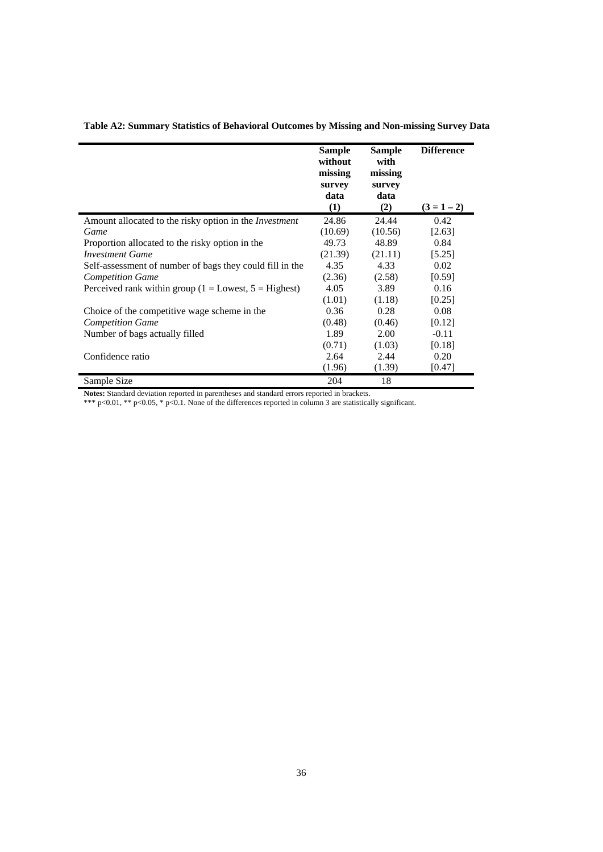|  | Table A2: Summary Statistics of Behavioral Outcomes by Missing and Non-missing Survey Data |  |  |  |
|--|--------------------------------------------------------------------------------------------|--|--|--|
|--|--------------------------------------------------------------------------------------------|--|--|--|

|                                                               | <b>Sample</b><br>without<br>missing<br>survey<br>data<br>(1) | <b>Sample</b><br>with<br>missing<br>survey<br>data<br>(2) | <b>Difference</b><br>$(3 = 1 - 2)$ |
|---------------------------------------------------------------|--------------------------------------------------------------|-----------------------------------------------------------|------------------------------------|
| Amount allocated to the risky option in the <i>Investment</i> | 24.86                                                        | 24.44                                                     | 0.42                               |
| Game                                                          | (10.69)                                                      | (10.56)                                                   | [2.63]                             |
| Proportion allocated to the risky option in the               | 49.73                                                        | 48.89                                                     | 0.84                               |
| <b>Investment Game</b>                                        | (21.39)                                                      | (21.11)                                                   | [5.25]                             |
| Self-assessment of number of bags they could fill in the      | 4.35                                                         | 4.33                                                      | 0.02                               |
| <b>Competition Game</b>                                       | (2.36)                                                       | (2.58)                                                    | [0.59]                             |
| Perceived rank within group $(1 =$ Lowest, $5 =$ Highest)     | 4.05                                                         | 3.89                                                      | 0.16                               |
|                                                               | (1.01)                                                       | (1.18)                                                    | [0.25]                             |
| Choice of the competitive wage scheme in the                  | 0.36                                                         | 0.28                                                      | 0.08                               |
| <b>Competition Game</b>                                       | (0.48)                                                       | (0.46)                                                    | [0.12]                             |
| Number of bags actually filled                                | 1.89                                                         | 2.00                                                      | $-0.11$                            |
|                                                               | (0.71)                                                       | (1.03)                                                    | [0.18]                             |
| Confidence ratio                                              | 2.64                                                         | 2.44                                                      | 0.20                               |
|                                                               | (1.96)                                                       | (1.39)                                                    | [0.47]                             |
| Sample Size                                                   | 204                                                          | 18                                                        |                                    |

**Notes:** Standard deviation reported in parentheses and standard errors reported in brackets.

\*\*\* p<0.01, \*\* p<0.05, \* p<0.1. None of the differences reported in column 3 are statistically significant.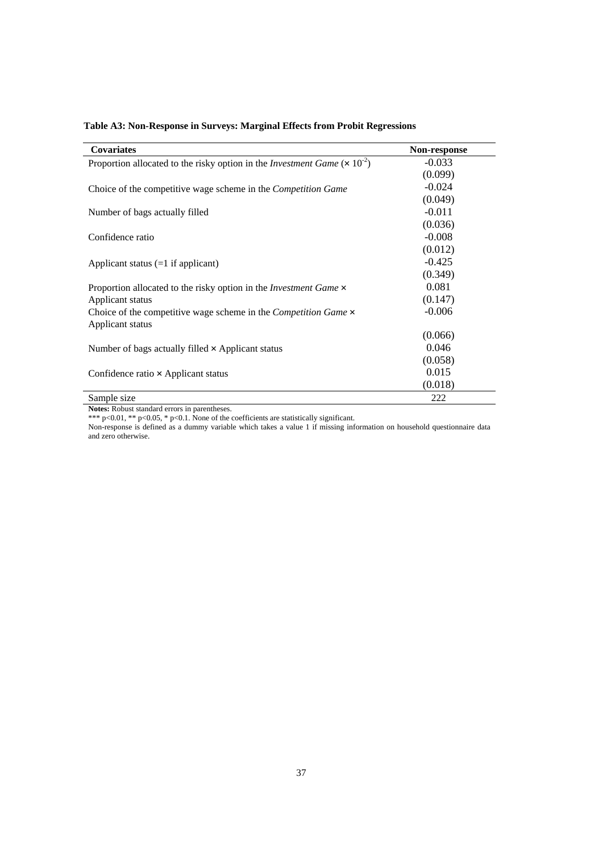| <b>Covariates</b>                                                                                    | Non-response |
|------------------------------------------------------------------------------------------------------|--------------|
| Proportion allocated to the risky option in the <i>Investment Game</i> ( $\times$ 10 <sup>-2</sup> ) | $-0.033$     |
|                                                                                                      | (0.099)      |
| Choice of the competitive wage scheme in the <i>Competition Game</i>                                 | $-0.024$     |
|                                                                                                      | (0.049)      |
| Number of bags actually filled                                                                       | $-0.011$     |
|                                                                                                      | (0.036)      |
| Confidence ratio                                                                                     | $-0.008$     |
|                                                                                                      | (0.012)      |
| Applicant status $(=1$ if applicant)                                                                 | $-0.425$     |
|                                                                                                      | (0.349)      |
| Proportion allocated to the risky option in the <i>Investment Game</i> $\times$                      | 0.081        |
| Applicant status                                                                                     | (0.147)      |
| Choice of the competitive wage scheme in the <i>Competition Game</i> $\times$                        | $-0.006$     |
| Applicant status                                                                                     |              |
|                                                                                                      | (0.066)      |
| Number of bags actually filled $\times$ Applicant status                                             | 0.046        |
|                                                                                                      | (0.058)      |
| Confidence ratio × Applicant status                                                                  | 0.015        |
|                                                                                                      | (0.018)      |
| Sample size                                                                                          | 222          |

#### **Table A3: Non-Response in Surveys: Marginal Effects from Probit Regressions**

**Notes:** Robust standard errors in parentheses.

\*\*\*  $p<0.01$ , \*\*  $p<0.05$ , \*  $p<0.1$ . None of the coefficients are statistically significant.

Non-response is defined as a dummy variable which takes a value 1 if missing information on household questionnaire data and zero otherwise.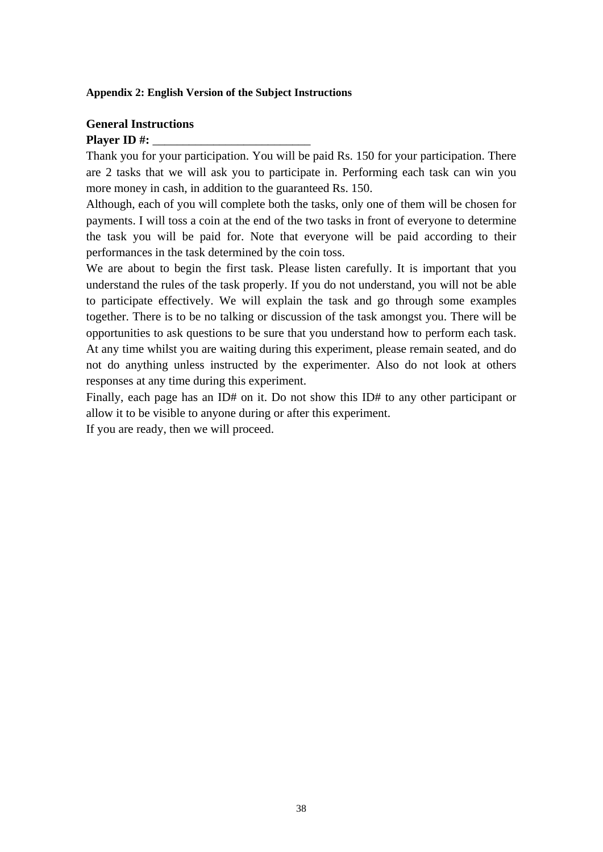#### **Appendix 2: English Version of the Subject Instructions**

### **General Instructions**

### **Player ID #:**

Thank you for your participation. You will be paid Rs. 150 for your participation. There are 2 tasks that we will ask you to participate in. Performing each task can win you more money in cash, in addition to the guaranteed Rs. 150.

Although, each of you will complete both the tasks, only one of them will be chosen for payments. I will toss a coin at the end of the two tasks in front of everyone to determine the task you will be paid for. Note that everyone will be paid according to their performances in the task determined by the coin toss.

We are about to begin the first task. Please listen carefully. It is important that you understand the rules of the task properly. If you do not understand, you will not be able to participate effectively. We will explain the task and go through some examples together. There is to be no talking or discussion of the task amongst you. There will be opportunities to ask questions to be sure that you understand how to perform each task. At any time whilst you are waiting during this experiment, please remain seated, and do not do anything unless instructed by the experimenter. Also do not look at others responses at any time during this experiment.

Finally, each page has an ID# on it. Do not show this ID# to any other participant or allow it to be visible to anyone during or after this experiment.

If you are ready, then we will proceed.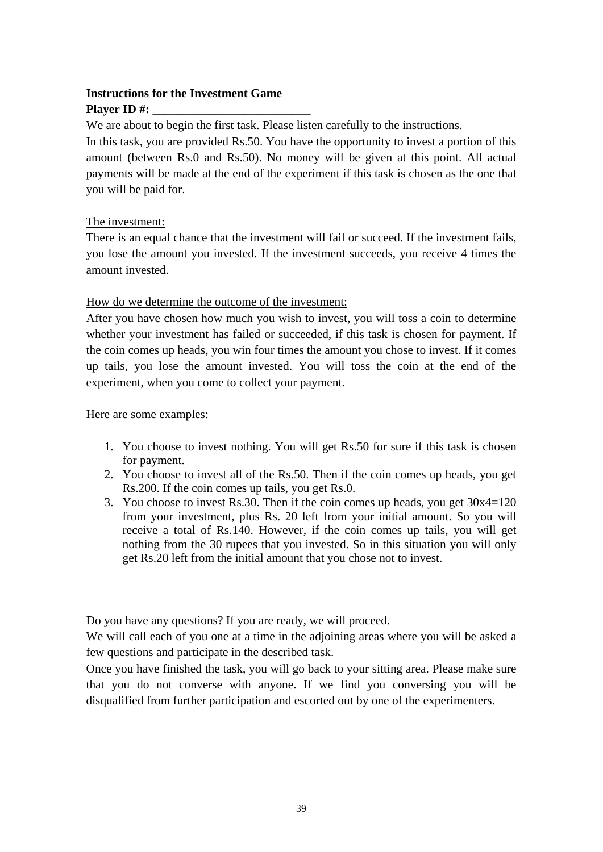## **Instructions for the Investment Game Player ID #:**

We are about to begin the first task. Please listen carefully to the instructions.

In this task, you are provided Rs.50. You have the opportunity to invest a portion of this amount (between Rs.0 and Rs.50). No money will be given at this point. All actual payments will be made at the end of the experiment if this task is chosen as the one that you will be paid for.

## The investment:

There is an equal chance that the investment will fail or succeed. If the investment fails, you lose the amount you invested. If the investment succeeds, you receive 4 times the amount invested.

## How do we determine the outcome of the investment:

After you have chosen how much you wish to invest, you will toss a coin to determine whether your investment has failed or succeeded, if this task is chosen for payment. If the coin comes up heads, you win four times the amount you chose to invest. If it comes up tails, you lose the amount invested. You will toss the coin at the end of the experiment, when you come to collect your payment.

Here are some examples:

- 1. You choose to invest nothing. You will get Rs.50 for sure if this task is chosen for payment.
- 2. You choose to invest all of the Rs.50. Then if the coin comes up heads, you get Rs.200. If the coin comes up tails, you get Rs.0.
- 3. You choose to invest Rs.30. Then if the coin comes up heads, you get  $30x4=120$ from your investment, plus Rs. 20 left from your initial amount. So you will receive a total of Rs.140. However, if the coin comes up tails, you will get nothing from the 30 rupees that you invested. So in this situation you will only get Rs.20 left from the initial amount that you chose not to invest.

Do you have any questions? If you are ready, we will proceed.

We will call each of you one at a time in the adjoining areas where you will be asked a few questions and participate in the described task.

Once you have finished the task, you will go back to your sitting area. Please make sure that you do not converse with anyone. If we find you conversing you will be disqualified from further participation and escorted out by one of the experimenters.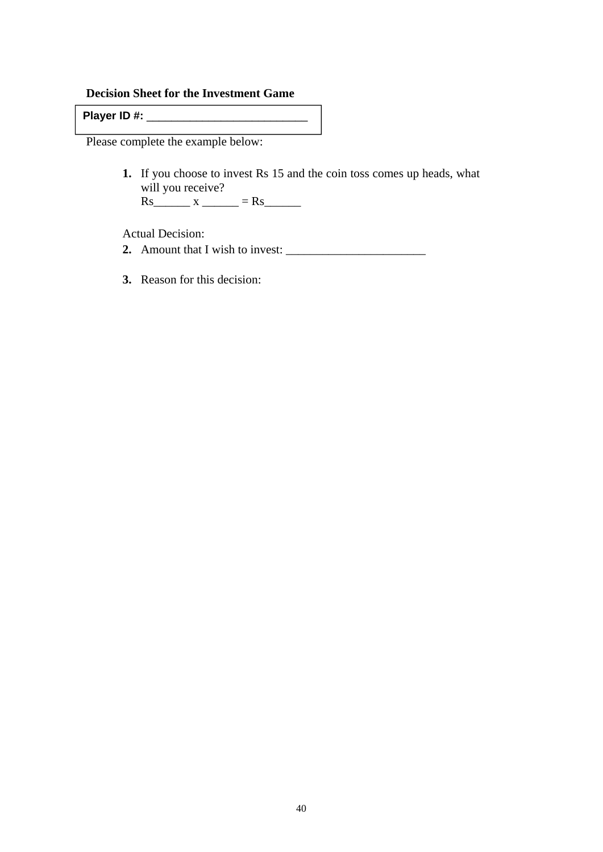#### **Decision Sheet for the Investment Game**

**Player ID #: \_\_\_\_\_\_\_\_\_\_\_\_\_\_\_\_\_\_\_\_\_\_\_\_\_\_\_\_\_\_\_** 

Please complete the example below:

**1.** If you choose to invest Rs 15 and the coin toss comes up heads, what will you receive?  $Rs$   $x$   $= Rs$   $=$ 

Actual Decision:

- **2.** Amount that I wish to invest: \_\_\_\_\_\_\_\_\_\_\_\_\_\_\_\_\_\_\_\_\_\_\_
- **3.** Reason for this decision: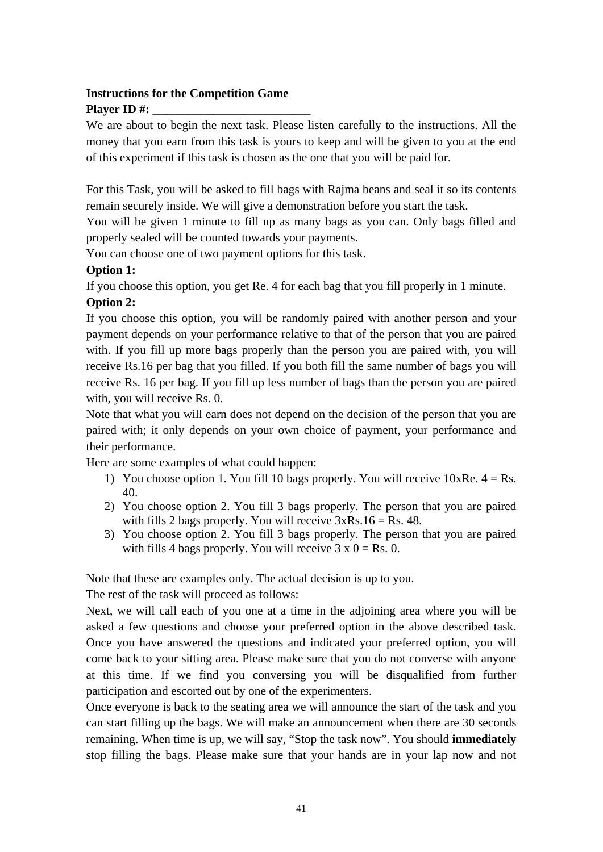## **Instructions for the Competition Game Player ID #:**

We are about to begin the next task. Please listen carefully to the instructions. All the money that you earn from this task is yours to keep and will be given to you at the end of this experiment if this task is chosen as the one that you will be paid for.

For this Task, you will be asked to fill bags with Rajma beans and seal it so its contents remain securely inside. We will give a demonstration before you start the task.

You will be given 1 minute to fill up as many bags as you can. Only bags filled and properly sealed will be counted towards your payments.

You can choose one of two payment options for this task.

## **Option 1:**

If you choose this option, you get Re. 4 for each bag that you fill properly in 1 minute.

## **Option 2:**

If you choose this option, you will be randomly paired with another person and your payment depends on your performance relative to that of the person that you are paired with. If you fill up more bags properly than the person you are paired with, you will receive Rs.16 per bag that you filled. If you both fill the same number of bags you will receive Rs. 16 per bag. If you fill up less number of bags than the person you are paired with, you will receive Rs. 0.

Note that what you will earn does not depend on the decision of the person that you are paired with; it only depends on your own choice of payment, your performance and their performance.

Here are some examples of what could happen:

- 1) You choose option 1. You fill 10 bags properly. You will receive  $10xRe. 4 = Rs$ . 40.
- 2) You choose option 2. You fill 3 bags properly. The person that you are paired with fills 2 bags properly. You will receive  $3xRs.16 = Rs.48$ .
- 3) You choose option 2. You fill 3 bags properly. The person that you are paired with fills 4 bags properly. You will receive  $3 \times 0 = \text{Rs. } 0$ .

Note that these are examples only. The actual decision is up to you.

The rest of the task will proceed as follows:

Next, we will call each of you one at a time in the adjoining area where you will be asked a few questions and choose your preferred option in the above described task. Once you have answered the questions and indicated your preferred option, you will come back to your sitting area. Please make sure that you do not converse with anyone at this time. If we find you conversing you will be disqualified from further participation and escorted out by one of the experimenters.

Once everyone is back to the seating area we will announce the start of the task and you can start filling up the bags. We will make an announcement when there are 30 seconds remaining. When time is up, we will say, "Stop the task now". You should **immediately**  stop filling the bags. Please make sure that your hands are in your lap now and not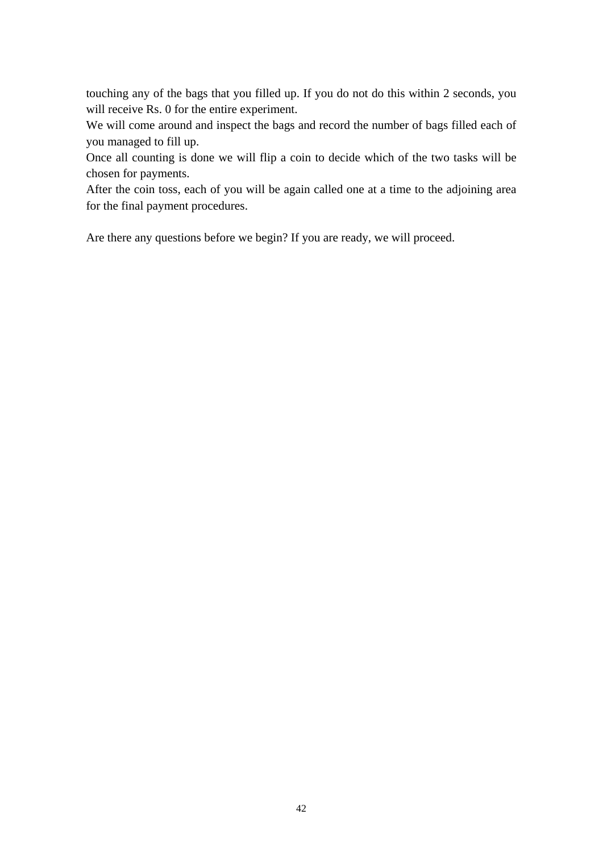touching any of the bags that you filled up. If you do not do this within 2 seconds, you will receive Rs. 0 for the entire experiment.

We will come around and inspect the bags and record the number of bags filled each of you managed to fill up.

Once all counting is done we will flip a coin to decide which of the two tasks will be chosen for payments.

After the coin toss, each of you will be again called one at a time to the adjoining area for the final payment procedures.

Are there any questions before we begin? If you are ready, we will proceed.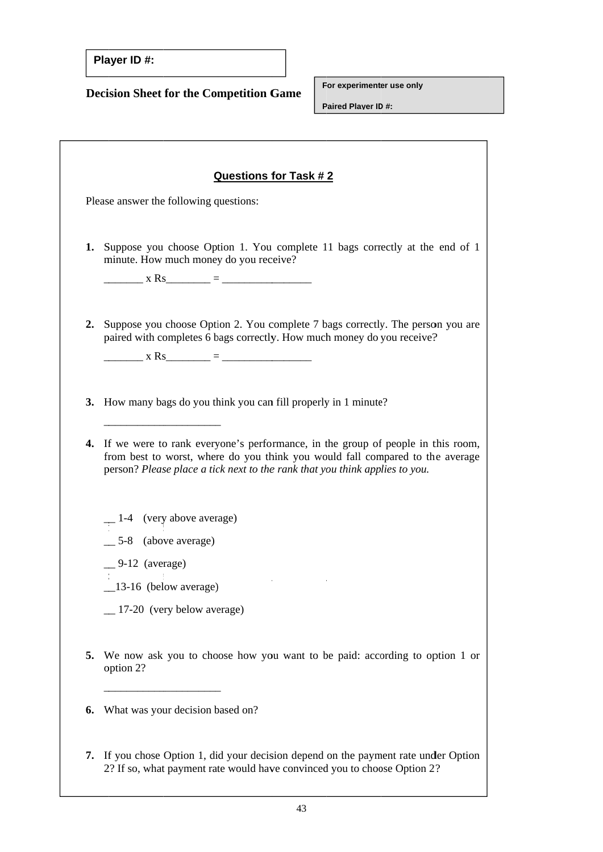**Pla ayer ID #:**

**Decision Sheet for the Competition Game** 

For experimenter use only

**Paired Player ID #:** 

|    | <b>Questions for Task #2</b>                                                                                                                                     |
|----|------------------------------------------------------------------------------------------------------------------------------------------------------------------|
|    | Please answer the following questions:                                                                                                                           |
|    |                                                                                                                                                                  |
| 1. | Suppose you choose Option 1. You complete 11 bags correctly at the end of 1<br>minute. How much money do you receive?                                            |
|    | $\frac{1}{1}$ x Rs $\frac{1}{1}$ = $\frac{1}{1}$ = $\frac{1}{1}$                                                                                                 |
|    |                                                                                                                                                                  |
| 2. | Suppose you choose Option 2. You complete 7 bags correctly. The person you are<br>paired with completes 6 bags correctly. How much money do you receive?         |
|    | $\frac{1}{1}$ x Rs $\frac{1}{1}$ = $\frac{1}{1}$ = $\frac{1}{1}$                                                                                                 |
|    |                                                                                                                                                                  |
| 3. | How many bags do you think you can fill properly in 1 minute?                                                                                                    |
|    |                                                                                                                                                                  |
| 4. | If we were to rank everyone's performance, in the group of people in this room,<br>from best to worst, where do you think you would fall compared to the average |
|    | person? Please place a tick next to the rank that you think applies to you.                                                                                      |
|    |                                                                                                                                                                  |
|    | $-$ 1-4 (very above average)                                                                                                                                     |
|    | $-5-8$ (above average)                                                                                                                                           |
|    | $-9-12$ (average)                                                                                                                                                |
|    | $\_13-16$ (below average)                                                                                                                                        |
|    | _17-20 (very below average)                                                                                                                                      |
| 5. | We now ask you to choose how you want to be paid: according to option 1 or                                                                                       |
|    | option 2?                                                                                                                                                        |
|    |                                                                                                                                                                  |
| 6. | What was your decision based on?                                                                                                                                 |
|    |                                                                                                                                                                  |
|    |                                                                                                                                                                  |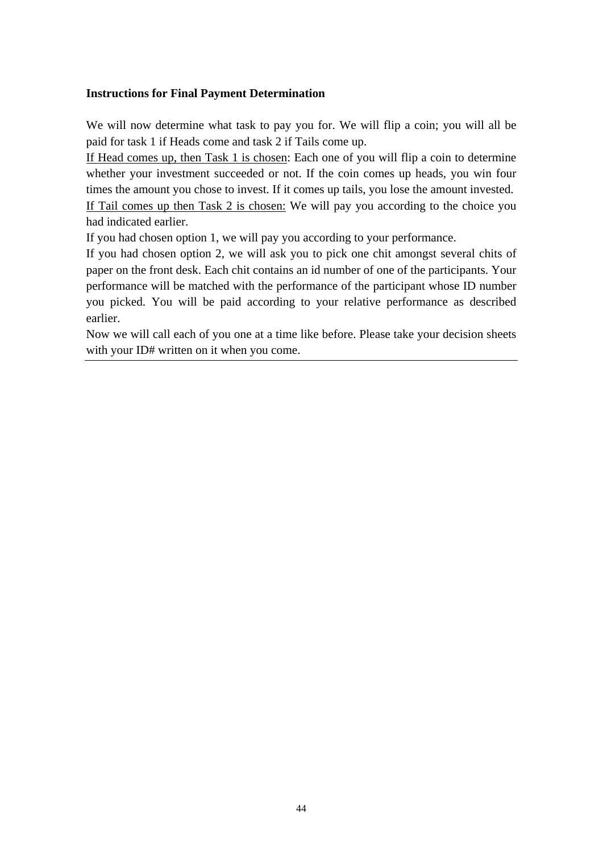### **Instructions for Final Payment Determination**

We will now determine what task to pay you for. We will flip a coin; you will all be paid for task 1 if Heads come and task 2 if Tails come up.

If Head comes up, then Task 1 is chosen: Each one of you will flip a coin to determine whether your investment succeeded or not. If the coin comes up heads, you win four times the amount you chose to invest. If it comes up tails, you lose the amount invested.

If Tail comes up then Task 2 is chosen: We will pay you according to the choice you had indicated earlier.

If you had chosen option 1, we will pay you according to your performance.

If you had chosen option 2, we will ask you to pick one chit amongst several chits of paper on the front desk. Each chit contains an id number of one of the participants. Your performance will be matched with the performance of the participant whose ID number you picked. You will be paid according to your relative performance as described earlier.

Now we will call each of you one at a time like before. Please take your decision sheets with your ID# written on it when you come.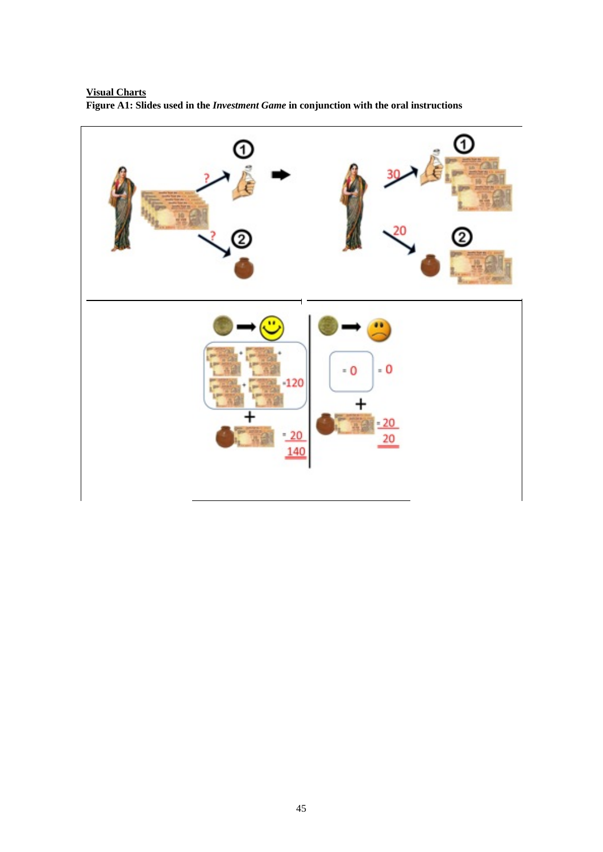**Visual Charts** 

**Figure A1: Slides used in the** *Investment Game* **in conjunction with the oral instructions**